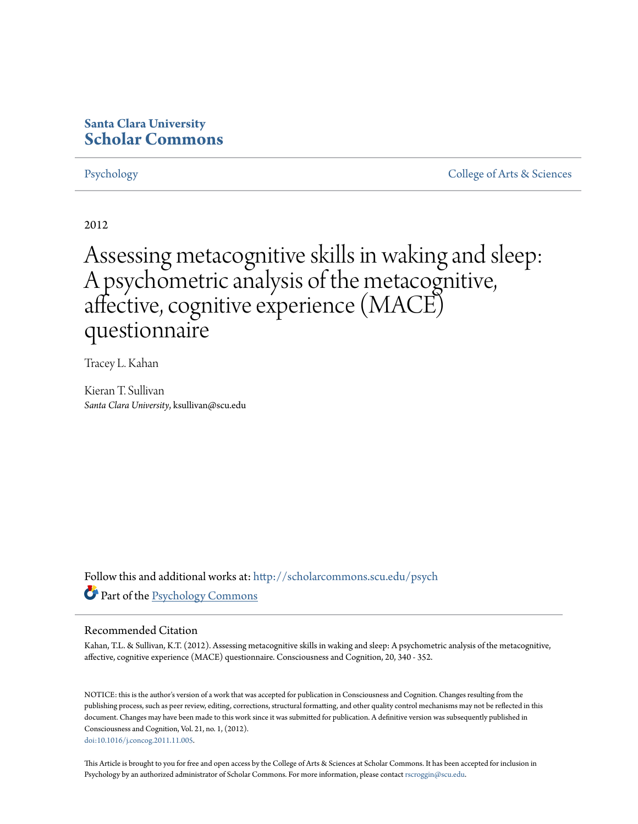# **Santa Clara University [Scholar Commons](http://scholarcommons.scu.edu?utm_source=scholarcommons.scu.edu%2Fpsych%2F15&utm_medium=PDF&utm_campaign=PDFCoverPages)**

[Psychology](http://scholarcommons.scu.edu/psych?utm_source=scholarcommons.scu.edu%2Fpsych%2F15&utm_medium=PDF&utm_campaign=PDFCoverPages) [College of Arts & Sciences](http://scholarcommons.scu.edu/cas?utm_source=scholarcommons.scu.edu%2Fpsych%2F15&utm_medium=PDF&utm_campaign=PDFCoverPages)

2012

Assessing metacognitive skills in waking and sleep: A psychometric analysis of the metacognitive, affective, cognitive experience (MACE) questionnaire

Tracey L. Kahan

Kieran T. Sullivan *Santa Clara University*, ksullivan@scu.edu

Follow this and additional works at: [http://scholarcommons.scu.edu/psych](http://scholarcommons.scu.edu/psych?utm_source=scholarcommons.scu.edu%2Fpsych%2F15&utm_medium=PDF&utm_campaign=PDFCoverPages) Part of the [Psychology Commons](http://network.bepress.com/hgg/discipline/404?utm_source=scholarcommons.scu.edu%2Fpsych%2F15&utm_medium=PDF&utm_campaign=PDFCoverPages)

### Recommended Citation

Kahan, T.L. & Sullivan, K.T. (2012). Assessing metacognitive skills in waking and sleep: A psychometric analysis of the metacognitive, affective, cognitive experience (MACE) questionnaire. Consciousness and Cognition, 20, 340 - 352.

NOTICE: this is the author's version of a work that was accepted for publication in Consciousness and Cognition. Changes resulting from the publishing process, such as peer review, editing, corrections, structural formatting, and other quality control mechanisms may not be reflected in this document. Changes may have been made to this work since it was submitted for publication. A definitive version was subsequently published in Consciousness and Cognition, Vol. 21, no. 1, (2012). [doi:10.1016/j.concog.2011.11.005](http://doi.org/10.1016/j.concog.2011.11.005).

This Article is brought to you for free and open access by the College of Arts & Sciences at Scholar Commons. It has been accepted for inclusion in Psychology by an authorized administrator of Scholar Commons. For more information, please contact [rscroggin@scu.edu](mailto:rscroggin@scu.edu).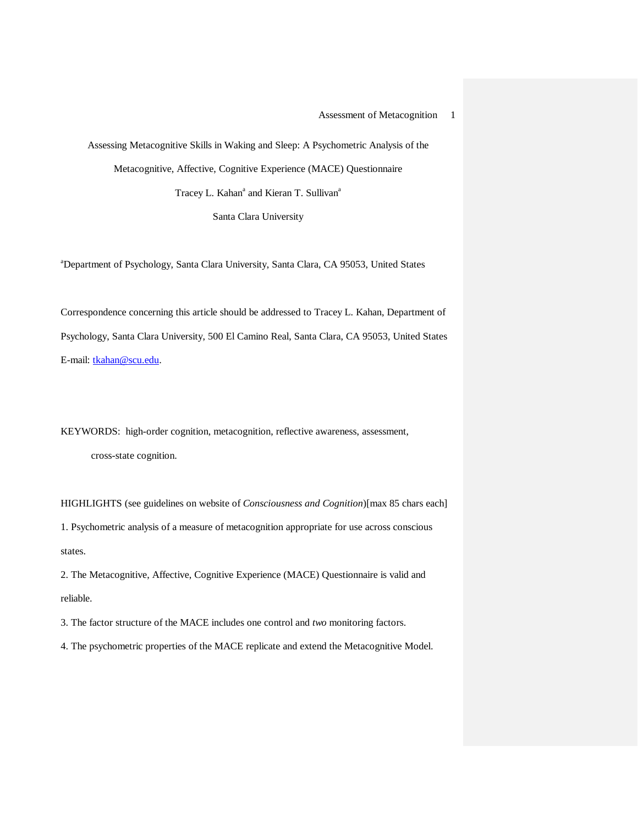Assessing Metacognitive Skills in Waking and Sleep: A Psychometric Analysis of the Metacognitive, Affective, Cognitive Experience (MACE) Questionnaire Tracey L. Kahan<sup>a</sup> and Kieran T. Sullivan<sup>a</sup>

Santa Clara University

a Department of Psychology, Santa Clara University, Santa Clara, CA 95053, United States

Correspondence concerning this article should be addressed to Tracey L. Kahan, Department of Psychology, Santa Clara University, 500 El Camino Real, Santa Clara, CA 95053, United States E-mail: [tkahan@scu.edu.](mailto:tkahan@scu.edu)

KEYWORDS: high-order cognition, metacognition, reflective awareness, assessment, cross-state cognition.

HIGHLIGHTS (see guidelines on website of *Consciousness and Cognition*)[max 85 chars each] 1. Psychometric analysis of a measure of metacognition appropriate for use across conscious states.

2. The Metacognitive, Affective, Cognitive Experience (MACE) Questionnaire is valid and reliable.

3. The factor structure of the MACE includes one control and *two* monitoring factors.

4. The psychometric properties of the MACE replicate and extend the Metacognitive Model.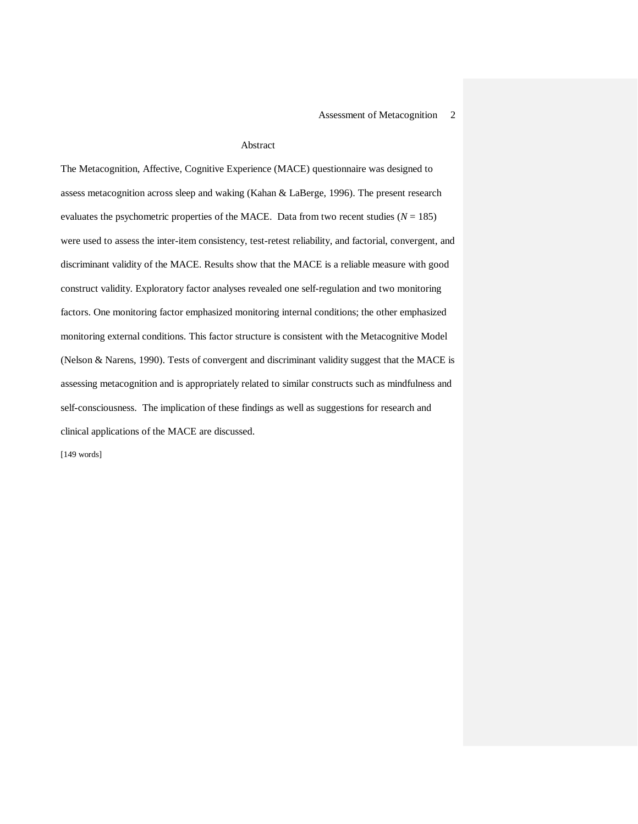#### Abstract

The Metacognition, Affective, Cognitive Experience (MACE) questionnaire was designed to assess metacognition across sleep and waking (Kahan & LaBerge, 1996). The present research evaluates the psychometric properties of the MACE. Data from two recent studies  $(N = 185)$ were used to assess the inter-item consistency, test-retest reliability, and factorial, convergent, and discriminant validity of the MACE. Results show that the MACE is a reliable measure with good construct validity. Exploratory factor analyses revealed one self-regulation and two monitoring factors. One monitoring factor emphasized monitoring internal conditions; the other emphasized monitoring external conditions. This factor structure is consistent with the Metacognitive Model (Nelson & Narens, 1990). Tests of convergent and discriminant validity suggest that the MACE is assessing metacognition and is appropriately related to similar constructs such as mindfulness and self-consciousness. The implication of these findings as well as suggestions for research and clinical applications of the MACE are discussed.

[149 words]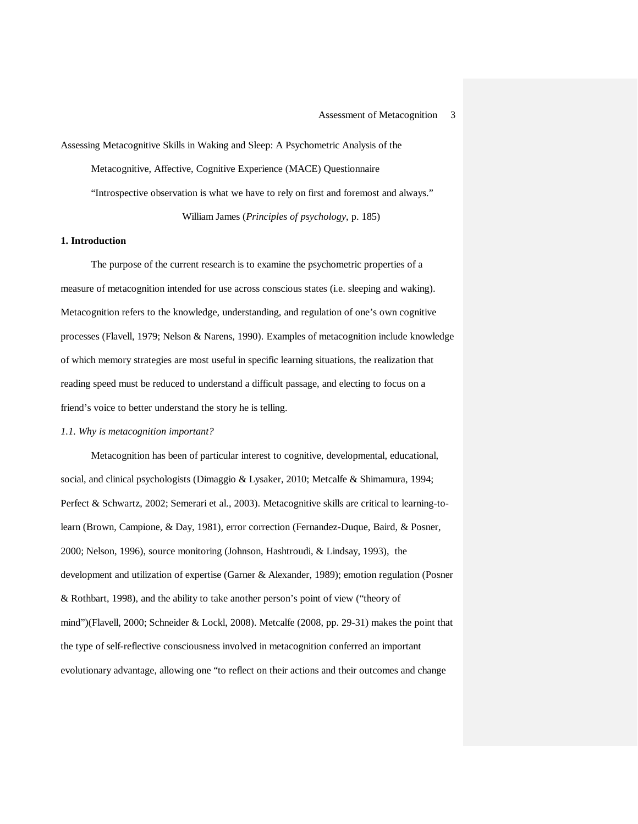Assessing Metacognitive Skills in Waking and Sleep: A Psychometric Analysis of the Metacognitive, Affective, Cognitive Experience (MACE) Questionnaire "Introspective observation is what we have to rely on first and foremost and always." William James (*Principles of psychology*, p. 185)

#### **1. Introduction**

The purpose of the current research is to examine the psychometric properties of a measure of metacognition intended for use across conscious states (i.e. sleeping and waking). Metacognition refers to the knowledge, understanding, and regulation of one's own cognitive processes (Flavell, 1979; Nelson & Narens, 1990). Examples of metacognition include knowledge of which memory strategies are most useful in specific learning situations, the realization that reading speed must be reduced to understand a difficult passage, and electing to focus on a friend's voice to better understand the story he is telling.

#### *1.1. Why is metacognition important?*

Metacognition has been of particular interest to cognitive, developmental, educational, social, and clinical psychologists (Dimaggio & Lysaker, 2010; Metcalfe & Shimamura, 1994; Perfect & Schwartz, 2002; Semerari et al., 2003). Metacognitive skills are critical to learning-tolearn (Brown, Campione, & Day, 1981), error correction (Fernandez-Duque, Baird, & Posner, 2000; Nelson, 1996), source monitoring (Johnson, Hashtroudi, & Lindsay, 1993), the development and utilization of expertise (Garner & Alexander, 1989); emotion regulation (Posner & Rothbart, 1998), and the ability to take another person's point of view ("theory of mind")(Flavell, 2000; Schneider & Lockl, 2008). Metcalfe (2008, pp. 29-31) makes the point that the type of self-reflective consciousness involved in metacognition conferred an important evolutionary advantage, allowing one "to reflect on their actions and their outcomes and change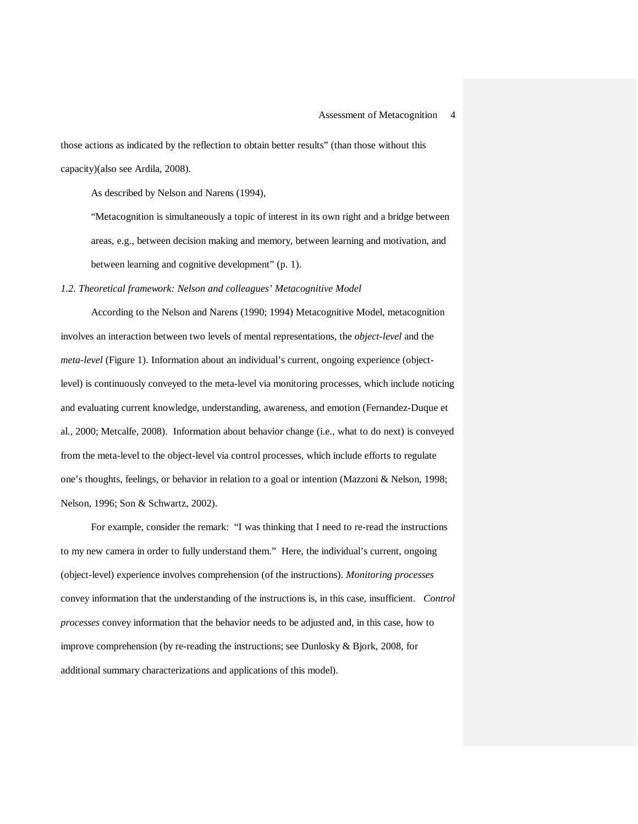those actions as indicated by the reflection to obtain better results" (than those without this capacity)(also see Ardila, 2008).

As described by Nelson and Narens (1994),

"Metacognition is simultaneously a topic of interest in its own right and a bridge between areas, e.g., between decision making and memory, between learning and motivation, and between learning and cognitive development" (p. 1).

*1.2. Theoretical framework: Nelson and colleagues' Metacognitive Model*

According to the Nelson and Narens (1990; 1994) Metacognitive Model, metacognition involves an interaction between two levels of mental representations, the *object-level* and the *meta-level* (Figure 1). Information about an individual's current, ongoing experience (objectlevel) is continuously conveyed to the meta-level via monitoring processes, which include noticing and evaluating current knowledge, understanding, awareness, and emotion (Fernandez-Duque et al., 2000; Metcalfe, 2008). Information about behavior change (i.e., what to do next) is conveyed from the meta-level to the object-level via control processes, which include efforts to regulate one's thoughts, feelings, or behavior in relation to a goal or intention (Mazzoni & Nelson, 1998; Nelson, 1996; Son & Schwartz, 2002).

For example, consider the remark: "I was thinking that I need to re-read the instructions to my new camera in order to fully understand them." Here, the individual's current, ongoing (object-level) experience involves comprehension (of the instructions). *Monitoring processes*  convey information that the understanding of the instructions is, in this case, insufficient. *Control processes* convey information that the behavior needs to be adjusted and, in this case, how to improve comprehension (by re-reading the instructions; see Dunlosky & Bjork, 2008, for additional summary characterizations and applications of this model).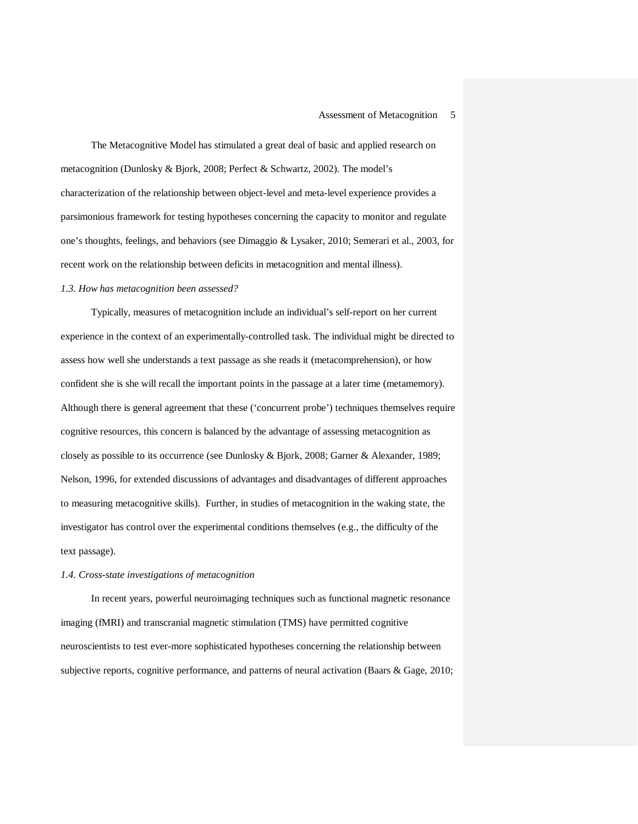The Metacognitive Model has stimulated a great deal of basic and applied research on metacognition (Dunlosky & Bjork, 2008; Perfect & Schwartz, 2002). The model's characterization of the relationship between object-level and meta-level experience provides a parsimonious framework for testing hypotheses concerning the capacity to monitor and regulate one's thoughts, feelings, and behaviors (see Dimaggio & Lysaker, 2010; Semerari et al., 2003, for recent work on the relationship between deficits in metacognition and mental illness).

#### *1.3. How has metacognition been assessed?*

Typically, measures of metacognition include an individual's self-report on her current experience in the context of an experimentally-controlled task. The individual might be directed to assess how well she understands a text passage as she reads it (metacomprehension), or how confident she is she will recall the important points in the passage at a later time (metamemory). Although there is general agreement that these ('concurrent probe') techniques themselves require cognitive resources, this concern is balanced by the advantage of assessing metacognition as closely as possible to its occurrence (see Dunlosky & Bjork, 2008; Garner & Alexander, 1989; Nelson, 1996, for extended discussions of advantages and disadvantages of different approaches to measuring metacognitive skills). Further, in studies of metacognition in the waking state, the investigator has control over the experimental conditions themselves (e.g., the difficulty of the text passage).

#### *1.4. Cross-state investigations of metacognition*

In recent years, powerful neuroimaging techniques such as functional magnetic resonance imaging (fMRI) and transcranial magnetic stimulation (TMS) have permitted cognitive neuroscientists to test ever-more sophisticated hypotheses concerning the relationship between subjective reports, cognitive performance, and patterns of neural activation (Baars & Gage, 2010;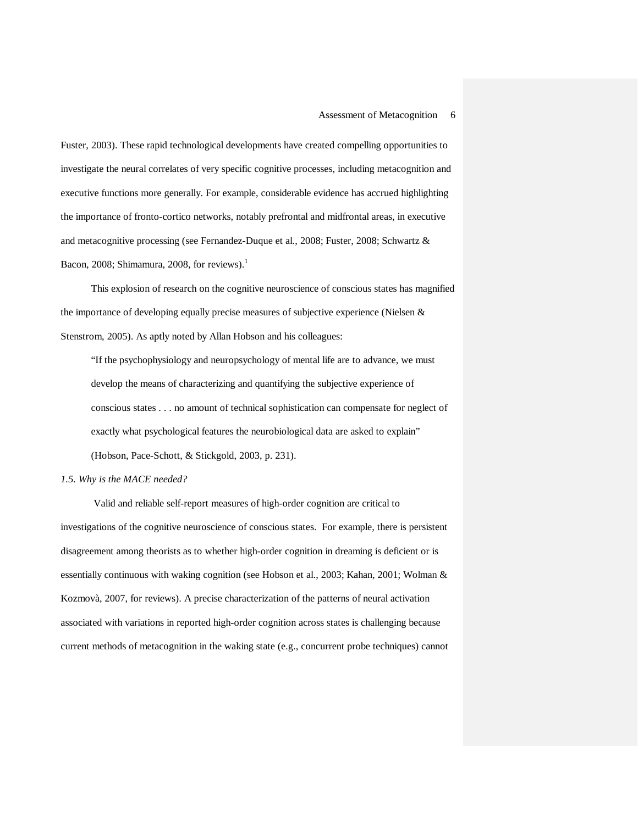Fuster, 2003). These rapid technological developments have created compelling opportunities to investigate the neural correlates of very specific cognitive processes, including metacognition and executive functions more generally. For example, considerable evidence has accrued highlighting the importance of fronto-cortico networks, notably prefrontal and midfrontal areas, in executive and metacognitive processing (see Fernandez-Duque et al., 2008; Fuster, 2008; Schwartz & Bacon, 2008; Shimamura, 2008, for reviews). $1$ 

This explosion of research on the cognitive neuroscience of conscious states has magnified the importance of developing equally precise measures of subjective experience (Nielsen & Stenstrom, 2005). As aptly noted by Allan Hobson and his colleagues:

"If the psychophysiology and neuropsychology of mental life are to advance, we must develop the means of characterizing and quantifying the subjective experience of conscious states . . . no amount of technical sophistication can compensate for neglect of exactly what psychological features the neurobiological data are asked to explain" (Hobson, Pace-Schott, & Stickgold, 2003, p. 231).

#### *1.5. Why is the MACE needed?*

Valid and reliable self-report measures of high-order cognition are critical to investigations of the cognitive neuroscience of conscious states. For example, there is persistent disagreement among theorists as to whether high-order cognition in dreaming is deficient or is essentially continuous with waking cognition (see Hobson et al., 2003; Kahan, 2001; Wolman & Kozmovà, 2007, for reviews). A precise characterization of the patterns of neural activation associated with variations in reported high-order cognition across states is challenging because current methods of metacognition in the waking state (e.g., concurrent probe techniques) cannot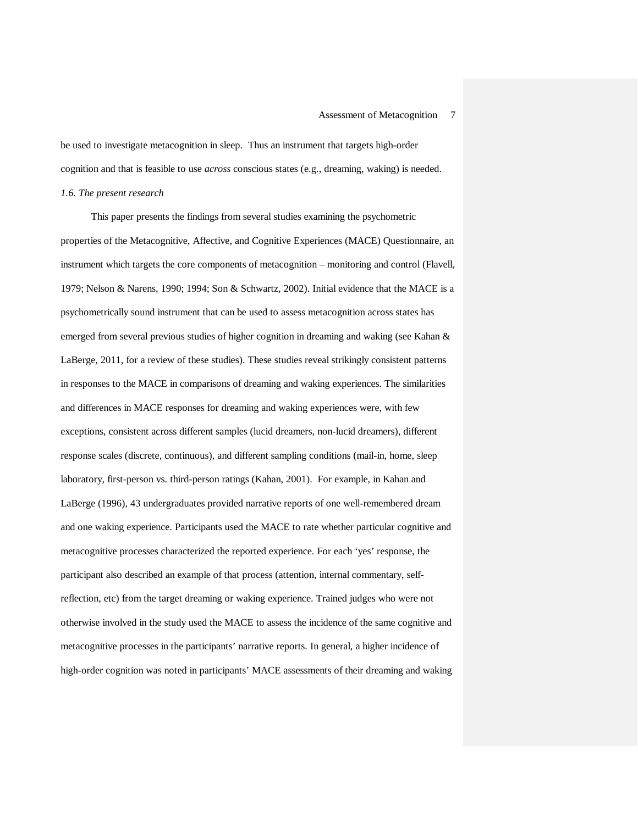be used to investigate metacognition in sleep. Thus an instrument that targets high-order cognition and that is feasible to use *across* conscious states (e.g., dreaming, waking) is needed. *1.6. The present research*

This paper presents the findings from several studies examining the psychometric properties of the Metacognitive, Affective, and Cognitive Experiences (MACE) Questionnaire, an instrument which targets the core components of metacognition – monitoring and control (Flavell, 1979; Nelson & Narens, 1990; 1994; Son & Schwartz, 2002). Initial evidence that the MACE is a psychometrically sound instrument that can be used to assess metacognition across states has emerged from several previous studies of higher cognition in dreaming and waking (see Kahan & LaBerge, 2011, for a review of these studies). These studies reveal strikingly consistent patterns in responses to the MACE in comparisons of dreaming and waking experiences. The similarities and differences in MACE responses for dreaming and waking experiences were, with few exceptions, consistent across different samples (lucid dreamers, non-lucid dreamers), different response scales (discrete, continuous), and different sampling conditions (mail-in, home, sleep laboratory, first-person vs. third-person ratings (Kahan, 2001). For example, in Kahan and LaBerge (1996), 43 undergraduates provided narrative reports of one well-remembered dream and one waking experience. Participants used the MACE to rate whether particular cognitive and metacognitive processes characterized the reported experience. For each 'yes' response, the participant also described an example of that process (attention, internal commentary, selfreflection, etc) from the target dreaming or waking experience. Trained judges who were not otherwise involved in the study used the MACE to assess the incidence of the same cognitive and metacognitive processes in the participants' narrative reports. In general, a higher incidence of high-order cognition was noted in participants' MACE assessments of their dreaming and waking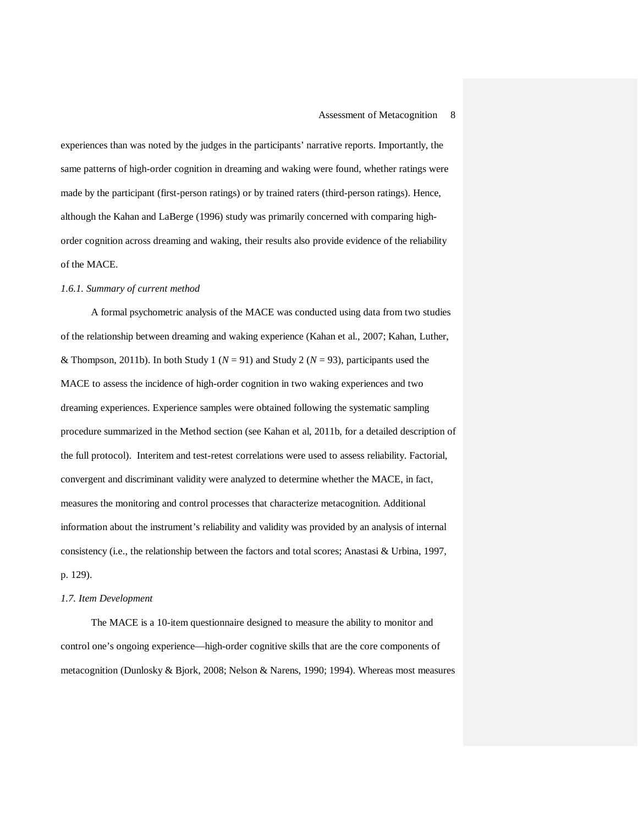experiences than was noted by the judges in the participants' narrative reports. Importantly, the same patterns of high-order cognition in dreaming and waking were found, whether ratings were made by the participant (first-person ratings) or by trained raters (third-person ratings). Hence, although the Kahan and LaBerge (1996) study was primarily concerned with comparing highorder cognition across dreaming and waking, their results also provide evidence of the reliability of the MACE.

#### *1.6.1. Summary of current method*

A formal psychometric analysis of the MACE was conducted using data from two studies of the relationship between dreaming and waking experience (Kahan et al., 2007; Kahan, Luther, & Thompson, 2011b). In both Study 1 ( $N = 91$ ) and Study 2 ( $N = 93$ ), participants used the MACE to assess the incidence of high-order cognition in two waking experiences and two dreaming experiences. Experience samples were obtained following the systematic sampling procedure summarized in the Method section (see Kahan et al, 2011b, for a detailed description of the full protocol). Interitem and test-retest correlations were used to assess reliability. Factorial, convergent and discriminant validity were analyzed to determine whether the MACE, in fact, measures the monitoring and control processes that characterize metacognition. Additional information about the instrument's reliability and validity was provided by an analysis of internal consistency (i.e., the relationship between the factors and total scores; Anastasi & Urbina, 1997, p. 129).

#### *1.7. Item Development*

The MACE is a 10-item questionnaire designed to measure the ability to monitor and control one's ongoing experience—high-order cognitive skills that are the core components of metacognition (Dunlosky & Bjork, 2008; Nelson & Narens, 1990; 1994). Whereas most measures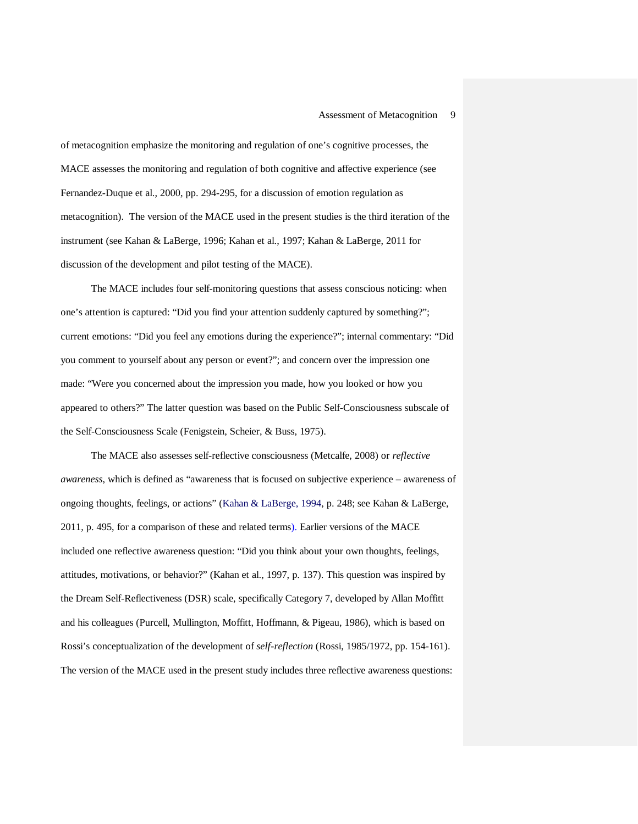of metacognition emphasize the monitoring and regulation of one's cognitive processes, the MACE assesses the monitoring and regulation of both cognitive and affective experience (see Fernandez-Duque et al., 2000, pp. 294-295, for a discussion of emotion regulation as metacognition). The version of the MACE used in the present studies is the third iteration of the instrument (see Kahan & LaBerge, 1996; Kahan et al., 1997; Kahan & LaBerge, 2011 for discussion of the development and pilot testing of the MACE).

The MACE includes four self-monitoring questions that assess conscious noticing: when one's attention is captured: "Did you find your attention suddenly captured by something?"; current emotions: "Did you feel any emotions during the experience?"; internal commentary: "Did you comment to yourself about any person or event?"; and concern over the impression one made: "Were you concerned about the impression you made, how you looked or how you appeared to others?" The latter question was based on the Public Self-Consciousness subscale of the Self-Consciousness Scale (Fenigstein, Scheier, & Buss, 1975).

The MACE also assesses self-reflective consciousness (Metcalfe, 2008) or *reflective awareness*, which is defined as "awareness that is focused on subjective experience – awareness of ongoing thoughts, feelings, or actions" (Kahan & LaBerge, 1994, p. 248; see Kahan & LaBerge, 2011, p. 495, for a comparison of these and related terms). Earlier versions of the MACE included one reflective awareness question: "Did you think about your own thoughts, feelings, attitudes, motivations, or behavior?" (Kahan et al., 1997, p. 137). This question was inspired by the Dream Self-Reflectiveness (DSR) scale, specifically Category 7, developed by Allan Moffitt and his colleagues (Purcell, Mullington, Moffitt, Hoffmann, & Pigeau, 1986), which is based on Rossi's conceptualization of the development of *self-reflection* (Rossi, 1985/1972, pp. 154-161). The version of the MACE used in the present study includes three reflective awareness questions: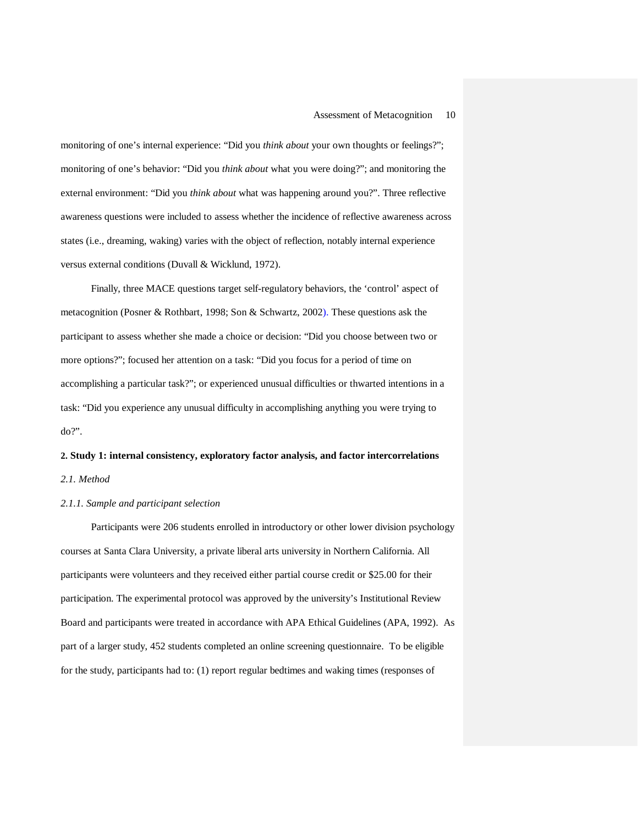monitoring of one's internal experience: "Did you *think about* your own thoughts or feelings?"; monitoring of one's behavior: "Did you *think about* what you were doing?"; and monitoring the external environment: "Did you *think about* what was happening around you?". Three reflective awareness questions were included to assess whether the incidence of reflective awareness across states (i.e., dreaming, waking) varies with the object of reflection, notably internal experience versus external conditions (Duvall & Wicklund, 1972).

Finally, three MACE questions target self-regulatory behaviors, the 'control' aspect of metacognition (Posner & Rothbart, 1998; Son & Schwartz, 2002). These questions ask the participant to assess whether she made a choice or decision: "Did you choose between two or more options?"; focused her attention on a task: "Did you focus for a period of time on accomplishing a particular task?"; or experienced unusual difficulties or thwarted intentions in a task: "Did you experience any unusual difficulty in accomplishing anything you were trying to do?".

# **2. Study 1: internal consistency, exploratory factor analysis, and factor intercorrelations** *2.1. Method*

#### *2.1.1. Sample and participant selection*

Participants were 206 students enrolled in introductory or other lower division psychology courses at Santa Clara University, a private liberal arts university in Northern California. All participants were volunteers and they received either partial course credit or \$25.00 for their participation. The experimental protocol was approved by the university's Institutional Review Board and participants were treated in accordance with APA Ethical Guidelines (APA, 1992). As part of a larger study, 452 students completed an online screening questionnaire. To be eligible for the study, participants had to: (1) report regular bedtimes and waking times (responses of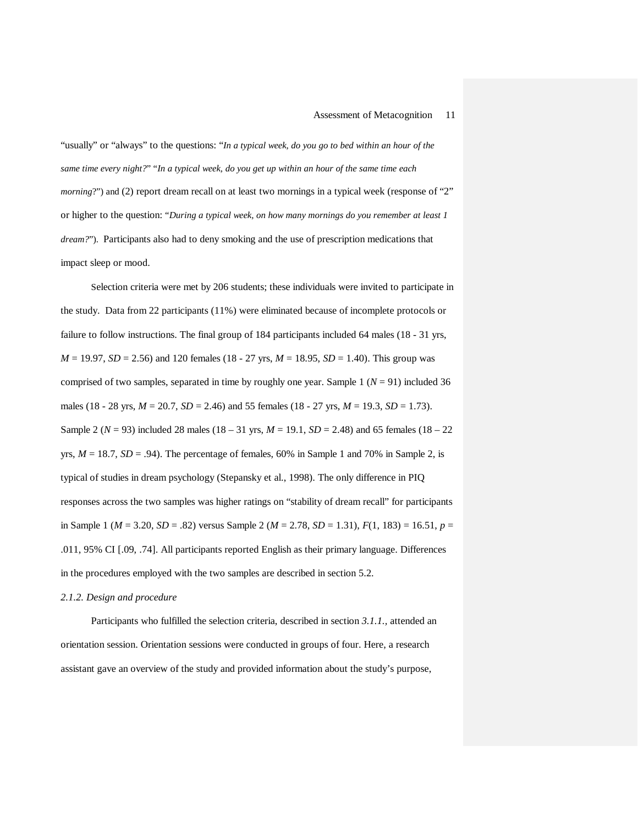"usually" or "always" to the questions: "*In a typical week, do you go to bed within an hour of the same time every night?*" "*In a typical week, do you get up within an hour of the same time each morning*?") and (2) report dream recall on at least two mornings in a typical week (response of "2" or higher to the question: "*During a typical week, on how many mornings do you remember at least 1 dream?"*). Participants also had to deny smoking and the use of prescription medications that impact sleep or mood.

Selection criteria were met by 206 students; these individuals were invited to participate in the study. Data from 22 participants (11%) were eliminated because of incomplete protocols or failure to follow instructions. The final group of 184 participants included 64 males (18 - 31 yrs, *M* = 19.97, *SD* = 2.56) and 120 females (18 - 27 yrs, *M* = 18.95, *SD* = 1.40). This group was comprised of two samples, separated in time by roughly one year. Sample  $1 (N = 91)$  included 36 males (18 - 28 yrs, *M* = 20.7, *SD* = 2.46) and 55 females (18 - 27 yrs, *M* = 19.3, *SD* = 1.73). Sample 2 ( $N = 93$ ) included 28 males ( $18 - 31$  yrs,  $M = 19.1$ ,  $SD = 2.48$ ) and 65 females ( $18 - 22$ ) yrs,  $M = 18.7$ ,  $SD = .94$ ). The percentage of females, 60% in Sample 1 and 70% in Sample 2, is typical of studies in dream psychology (Stepansky et al., 1998). The only difference in PIQ responses across the two samples was higher ratings on "stability of dream recall" for participants in Sample 1 (*M* = 3.20, *SD* = .82) versus Sample 2 (*M* = 2.78, *SD* = 1.31), *F*(1, 183) = 16.51, *p* = .011, 95% CI [.09, .74]. All participants reported English as their primary language. Differences in the procedures employed with the two samples are described in section 5.2.

#### *2.1.2. Design and procedure*

Participants who fulfilled the selection criteria, described in section *3.1.1.,* attended an orientation session. Orientation sessions were conducted in groups of four. Here, a research assistant gave an overview of the study and provided information about the study's purpose,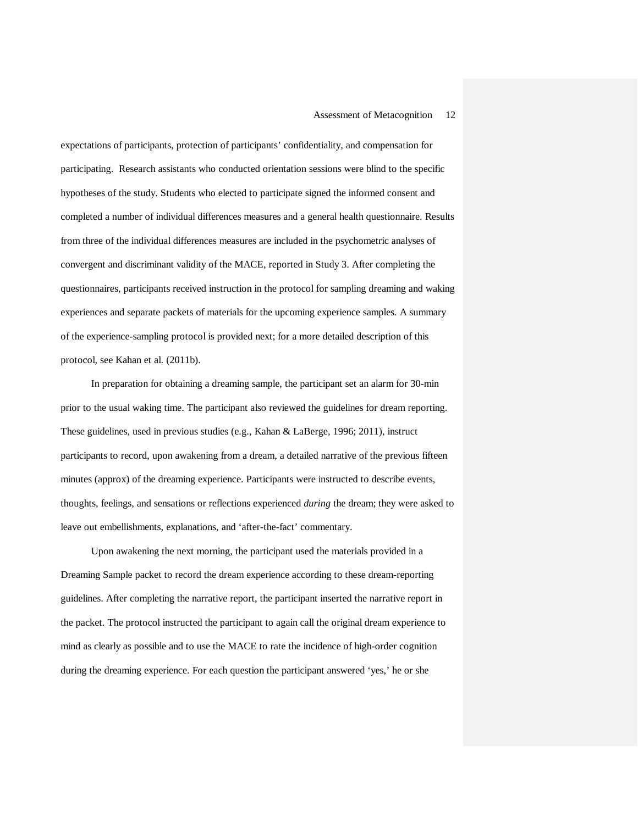expectations of participants, protection of participants' confidentiality, and compensation for participating. Research assistants who conducted orientation sessions were blind to the specific hypotheses of the study. Students who elected to participate signed the informed consent and completed a number of individual differences measures and a general health questionnaire. Results from three of the individual differences measures are included in the psychometric analyses of convergent and discriminant validity of the MACE, reported in Study 3. After completing the questionnaires, participants received instruction in the protocol for sampling dreaming and waking experiences and separate packets of materials for the upcoming experience samples. A summary of the experience-sampling protocol is provided next; for a more detailed description of this protocol, see Kahan et al. (2011b).

In preparation for obtaining a dreaming sample, the participant set an alarm for 30-min prior to the usual waking time. The participant also reviewed the guidelines for dream reporting. These guidelines, used in previous studies (e.g., Kahan & LaBerge, 1996; 2011), instruct participants to record, upon awakening from a dream, a detailed narrative of the previous fifteen minutes (approx) of the dreaming experience. Participants were instructed to describe events, thoughts, feelings, and sensations or reflections experienced *during* the dream; they were asked to leave out embellishments, explanations, and 'after-the-fact' commentary.

Upon awakening the next morning, the participant used the materials provided in a Dreaming Sample packet to record the dream experience according to these dream-reporting guidelines. After completing the narrative report, the participant inserted the narrative report in the packet. The protocol instructed the participant to again call the original dream experience to mind as clearly as possible and to use the MACE to rate the incidence of high-order cognition during the dreaming experience. For each question the participant answered 'yes,' he or she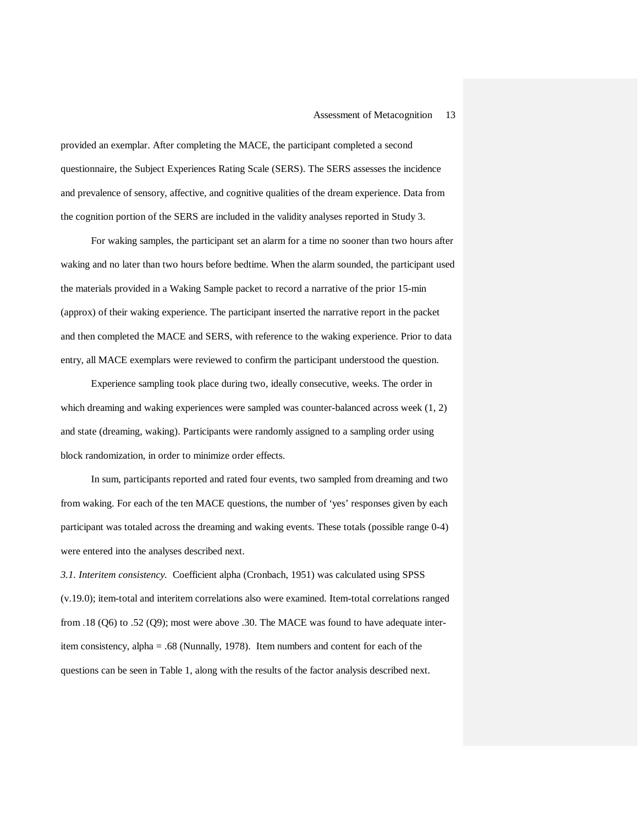provided an exemplar. After completing the MACE, the participant completed a second questionnaire, the Subject Experiences Rating Scale (SERS). The SERS assesses the incidence and prevalence of sensory, affective, and cognitive qualities of the dream experience. Data from the cognition portion of the SERS are included in the validity analyses reported in Study 3.

For waking samples, the participant set an alarm for a time no sooner than two hours after waking and no later than two hours before bedtime. When the alarm sounded, the participant used the materials provided in a Waking Sample packet to record a narrative of the prior 15-min (approx) of their waking experience. The participant inserted the narrative report in the packet and then completed the MACE and SERS, with reference to the waking experience. Prior to data entry, all MACE exemplars were reviewed to confirm the participant understood the question.

Experience sampling took place during two, ideally consecutive, weeks. The order in which dreaming and waking experiences were sampled was counter-balanced across week (1, 2) and state (dreaming, waking). Participants were randomly assigned to a sampling order using block randomization, in order to minimize order effects.

In sum, participants reported and rated four events, two sampled from dreaming and two from waking. For each of the ten MACE questions, the number of 'yes' responses given by each participant was totaled across the dreaming and waking events. These totals (possible range 0-4) were entered into the analyses described next.

*3.1. Interitem consistency.* Coefficient alpha (Cronbach, 1951) was calculated using SPSS (v.19.0); item-total and interitem correlations also were examined. Item-total correlations ranged from .18 (Q6) to .52 (Q9); most were above .30. The MACE was found to have adequate interitem consistency, alpha = .68 (Nunnally, 1978). Item numbers and content for each of the questions can be seen in Table 1, along with the results of the factor analysis described next.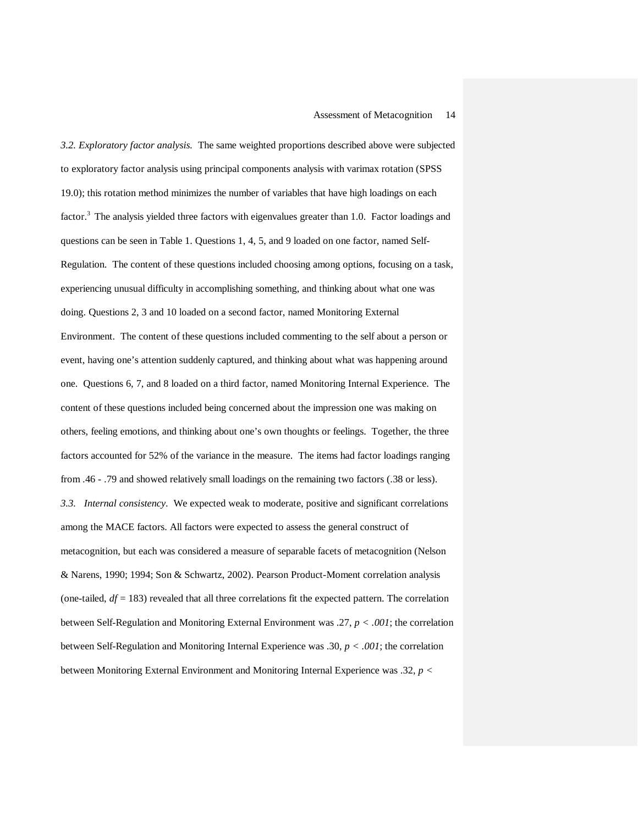*3.2. Exploratory factor analysis.* The same weighted proportions described above were subjected to exploratory factor analysis using principal components analysis with varimax rotation (SPSS 19.0); this rotation method minimizes the number of variables that have high loadings on each factor.<sup>3</sup> The analysis yielded three factors with eigenvalues greater than 1.0. Factor loadings and questions can be seen in Table 1. Questions 1, 4, 5, and 9 loaded on one factor, named Self-Regulation. The content of these questions included choosing among options, focusing on a task, experiencing unusual difficulty in accomplishing something, and thinking about what one was doing. Questions 2, 3 and 10 loaded on a second factor, named Monitoring External Environment. The content of these questions included commenting to the self about a person or event, having one's attention suddenly captured, and thinking about what was happening around one. Questions 6, 7, and 8 loaded on a third factor, named Monitoring Internal Experience. The content of these questions included being concerned about the impression one was making on others, feeling emotions, and thinking about one's own thoughts or feelings. Together, the three factors accounted for 52% of the variance in the measure. The items had factor loadings ranging from .46 - .79 and showed relatively small loadings on the remaining two factors (.38 or less). *3.3. Internal consistency*. We expected weak to moderate, positive and significant correlations among the MACE factors. All factors were expected to assess the general construct of metacognition, but each was considered a measure of separable facets of metacognition (Nelson & Narens, 1990; 1994; Son & Schwartz, 2002). Pearson Product-Moment correlation analysis (one-tailed,  $df = 183$ ) revealed that all three correlations fit the expected pattern. The correlation between Self-Regulation and Monitoring External Environment was .27, *p < .001*; the correlation between Self-Regulation and Monitoring Internal Experience was .30, *p < .001*; the correlation between Monitoring External Environment and Monitoring Internal Experience was .32, *p <*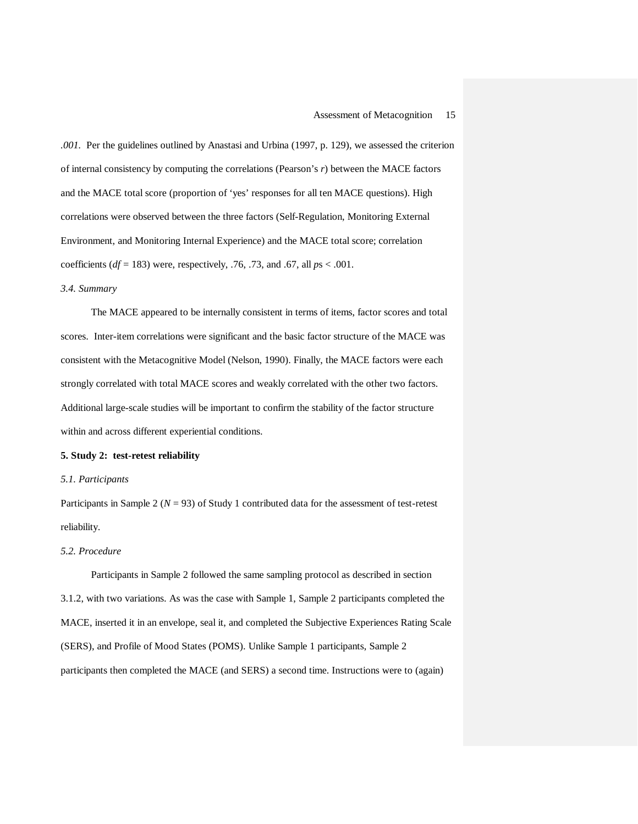*.001.* Per the guidelines outlined by Anastasi and Urbina (1997, p. 129), we assessed the criterion of internal consistency by computing the correlations (Pearson's *r*) between the MACE factors and the MACE total score (proportion of 'yes' responses for all ten MACE questions). High correlations were observed between the three factors (Self-Regulation, Monitoring External Environment, and Monitoring Internal Experience) and the MACE total score; correlation coefficients (*df* = 183) were, respectively, .76, .73, and .67, all *p*s < .001.

#### *3.4. Summary*

The MACE appeared to be internally consistent in terms of items, factor scores and total scores. Inter-item correlations were significant and the basic factor structure of the MACE was consistent with the Metacognitive Model (Nelson, 1990). Finally, the MACE factors were each strongly correlated with total MACE scores and weakly correlated with the other two factors. Additional large-scale studies will be important to confirm the stability of the factor structure within and across different experiential conditions.

#### **5. Study 2: test-retest reliability**

#### *5.1. Participants*

Participants in Sample 2 ( $N = 93$ ) of Study 1 contributed data for the assessment of test-retest reliability.

### *5.2. Procedure*

Participants in Sample 2 followed the same sampling protocol as described in section 3.1.2, with two variations. As was the case with Sample 1, Sample 2 participants completed the MACE, inserted it in an envelope, seal it, and completed the Subjective Experiences Rating Scale (SERS), and Profile of Mood States (POMS). Unlike Sample 1 participants, Sample 2 participants then completed the MACE (and SERS) a second time. Instructions were to (again)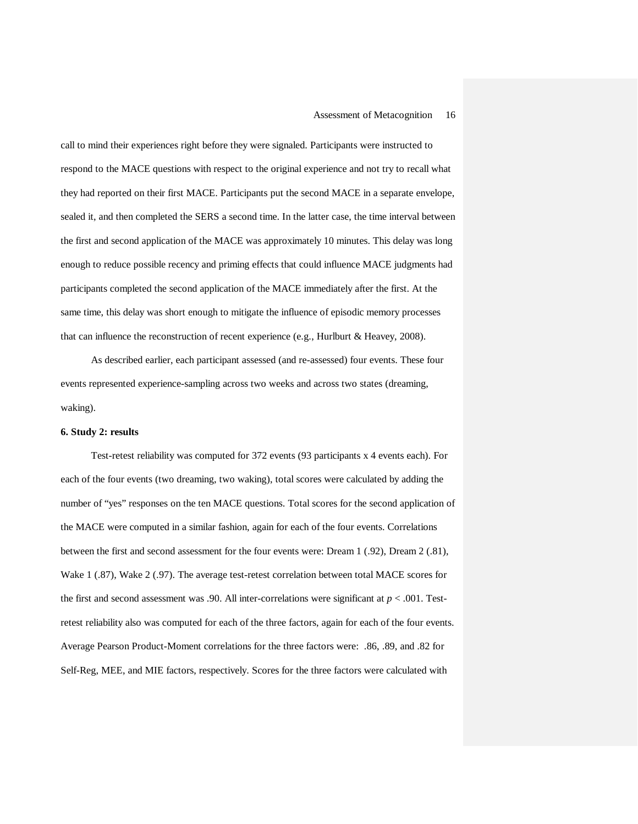call to mind their experiences right before they were signaled. Participants were instructed to respond to the MACE questions with respect to the original experience and not try to recall what they had reported on their first MACE. Participants put the second MACE in a separate envelope, sealed it, and then completed the SERS a second time. In the latter case, the time interval between the first and second application of the MACE was approximately 10 minutes. This delay was long enough to reduce possible recency and priming effects that could influence MACE judgments had participants completed the second application of the MACE immediately after the first. At the same time, this delay was short enough to mitigate the influence of episodic memory processes that can influence the reconstruction of recent experience (e.g., Hurlburt & Heavey, 2008).

As described earlier, each participant assessed (and re-assessed) four events. These four events represented experience-sampling across two weeks and across two states (dreaming, waking).

#### **6. Study 2: results**

Test-retest reliability was computed for 372 events (93 participants x 4 events each). For each of the four events (two dreaming, two waking), total scores were calculated by adding the number of "yes" responses on the ten MACE questions. Total scores for the second application of the MACE were computed in a similar fashion, again for each of the four events. Correlations between the first and second assessment for the four events were: Dream 1 (.92), Dream 2 (.81), Wake 1 (.87), Wake 2 (.97). The average test-retest correlation between total MACE scores for the first and second assessment was .90. All inter-correlations were significant at  $p < .001$ . Testretest reliability also was computed for each of the three factors, again for each of the four events. Average Pearson Product-Moment correlations for the three factors were: .86, .89, and .82 for Self-Reg, MEE, and MIE factors, respectively. Scores for the three factors were calculated with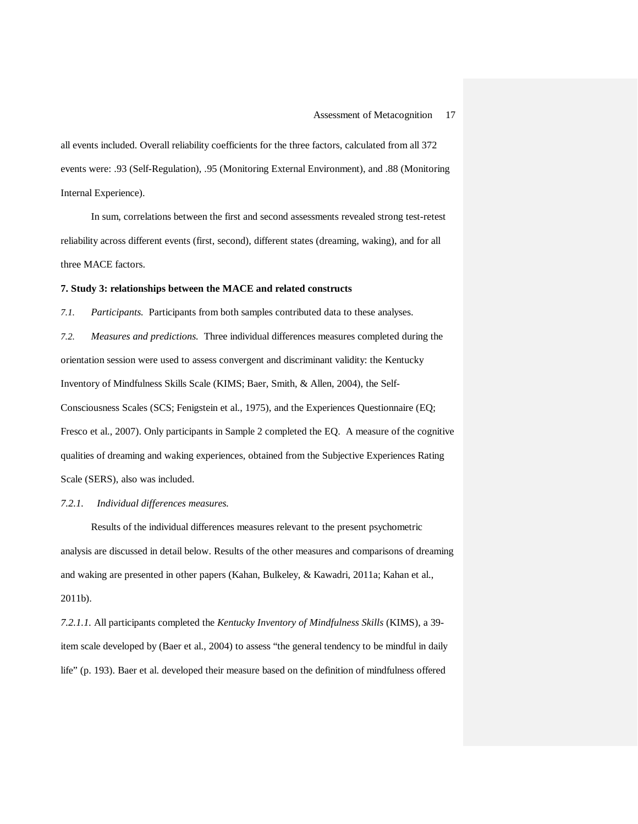all events included. Overall reliability coefficients for the three factors, calculated from all 372 events were: .93 (Self-Regulation), .95 (Monitoring External Environment), and .88 (Monitoring Internal Experience).

In sum, correlations between the first and second assessments revealed strong test-retest reliability across different events (first, second), different states (dreaming, waking), and for all three MACE factors.

#### **7. Study 3: relationships between the MACE and related constructs**

*7.1. Participants.* Participants from both samples contributed data to these analyses. *7.2. Measures and predictions.* Three individual differences measures completed during the orientation session were used to assess convergent and discriminant validity: the Kentucky Inventory of Mindfulness Skills Scale (KIMS; Baer, Smith, & Allen, 2004), the Self-Consciousness Scales (SCS; Fenigstein et al., 1975), and the Experiences Questionnaire (EQ; Fresco et al., 2007). Only participants in Sample 2 completed the EQ. A measure of the cognitive qualities of dreaming and waking experiences, obtained from the Subjective Experiences Rating Scale (SERS), also was included.

#### *7.2.1. Individual differences measures.*

Results of the individual differences measures relevant to the present psychometric analysis are discussed in detail below. Results of the other measures and comparisons of dreaming and waking are presented in other papers (Kahan, Bulkeley, & Kawadri, 2011a; Kahan et al., 2011b).

*7.2.1.1.* All participants completed the *Kentucky Inventory of Mindfulness Skills* (KIMS), a 39 item scale developed by (Baer et al., 2004) to assess "the general tendency to be mindful in daily life" (p. 193). Baer et al. developed their measure based on the definition of mindfulness offered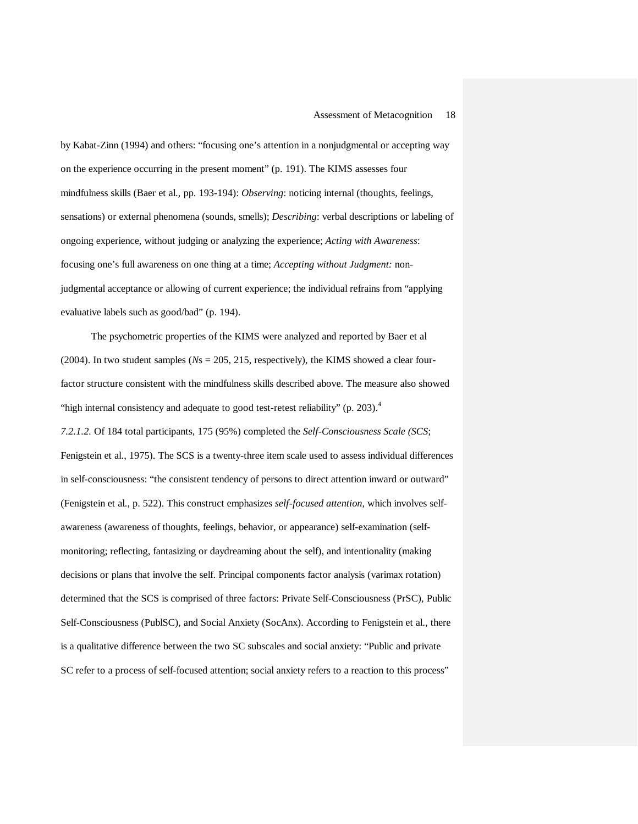by Kabat-Zinn (1994) and others: "focusing one's attention in a nonjudgmental or accepting way on the experience occurring in the present moment" (p. 191). The KIMS assesses four mindfulness skills (Baer et al., pp. 193-194): *Observing*: noticing internal (thoughts, feelings, sensations) or external phenomena (sounds, smells); *Describing*: verbal descriptions or labeling of ongoing experience, without judging or analyzing the experience; *Acting with Awareness*: focusing one's full awareness on one thing at a time; *Accepting without Judgment:* nonjudgmental acceptance or allowing of current experience; the individual refrains from "applying evaluative labels such as good/bad" (p. 194).

The psychometric properties of the KIMS were analyzed and reported by Baer et al (2004). In two student samples (*N*s = 205, 215, respectively), the KIMS showed a clear fourfactor structure consistent with the mindfulness skills described above. The measure also showed "high internal consistency and adequate to good test-retest reliability" (p. 203).<sup>4</sup> *7.2.1.2.* Of 184 total participants, 175 (95%) completed the *Self-Consciousness Scale (SCS*; Fenigstein et al., 1975). The SCS is a twenty-three item scale used to assess individual differences in self-consciousness: "the consistent tendency of persons to direct attention inward or outward" (Fenigstein et al., p. 522). This construct emphasizes *self-focused attention*, which involves selfawareness (awareness of thoughts, feelings, behavior, or appearance) self-examination (selfmonitoring; reflecting, fantasizing or daydreaming about the self), and intentionality (making decisions or plans that involve the self. Principal components factor analysis (varimax rotation) determined that the SCS is comprised of three factors: Private Self-Consciousness (PrSC), Public Self-Consciousness (PublSC), and Social Anxiety (SocAnx). According to Fenigstein et al., there is a qualitative difference between the two SC subscales and social anxiety: "Public and private SC refer to a process of self-focused attention; social anxiety refers to a reaction to this process"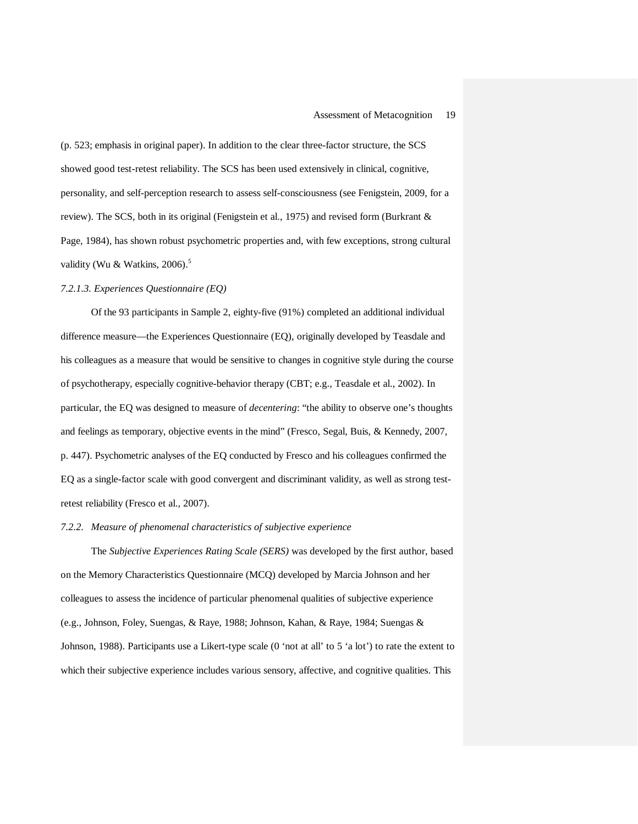(p. 523; emphasis in original paper). In addition to the clear three-factor structure, the SCS showed good test-retest reliability. The SCS has been used extensively in clinical, cognitive, personality, and self-perception research to assess self-consciousness (see Fenigstein, 2009, for a review). The SCS, both in its original (Fenigstein et al., 1975) and revised form (Burkrant & Page, 1984), has shown robust psychometric properties and, with few exceptions, strong cultural validity (Wu & Watkins,  $2006$ ).<sup>5</sup>

#### *7.2.1.3. Experiences Questionnaire (EQ)*

Of the 93 participants in Sample 2, eighty-five (91%) completed an additional individual difference measure—the Experiences Questionnaire (EQ), originally developed by Teasdale and his colleagues as a measure that would be sensitive to changes in cognitive style during the course of psychotherapy, especially cognitive-behavior therapy (CBT; e.g., Teasdale et al., 2002). In particular, the EQ was designed to measure of *decentering*: "the ability to observe one's thoughts and feelings as temporary, objective events in the mind" (Fresco, Segal, Buis, & Kennedy, 2007, p. 447). Psychometric analyses of the EQ conducted by Fresco and his colleagues confirmed the EQ as a single-factor scale with good convergent and discriminant validity, as well as strong testretest reliability (Fresco et al., 2007).

#### *7.2.2. Measure of phenomenal characteristics of subjective experience*

The *Subjective Experiences Rating Scale (SERS)* was developed by the first author, based on the Memory Characteristics Questionnaire (MCQ) developed by Marcia Johnson and her colleagues to assess the incidence of particular phenomenal qualities of subjective experience (e.g., Johnson, Foley, Suengas, & Raye, 1988; Johnson, Kahan, & Raye, 1984; Suengas & Johnson, 1988). Participants use a Likert-type scale (0 'not at all' to 5 'a lot') to rate the extent to which their subjective experience includes various sensory, affective, and cognitive qualities. This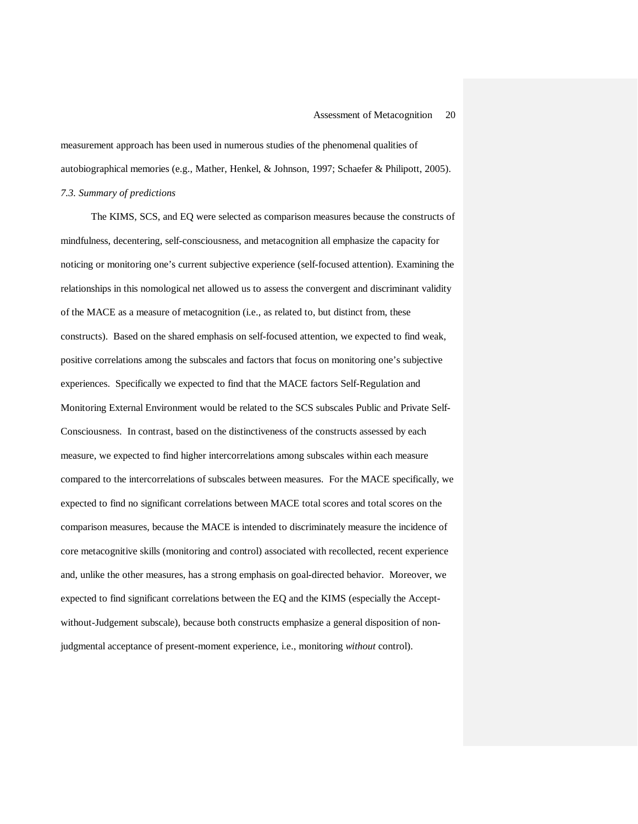measurement approach has been used in numerous studies of the phenomenal qualities of autobiographical memories (e.g., Mather, Henkel, & Johnson, 1997; Schaefer & Philipott, 2005). *7.3. Summary of predictions*

The KIMS, SCS, and EQ were selected as comparison measures because the constructs of mindfulness, decentering, self-consciousness, and metacognition all emphasize the capacity for noticing or monitoring one's current subjective experience (self-focused attention). Examining the relationships in this nomological net allowed us to assess the convergent and discriminant validity of the MACE as a measure of metacognition (i.e., as related to, but distinct from, these constructs). Based on the shared emphasis on self-focused attention, we expected to find weak, positive correlations among the subscales and factors that focus on monitoring one's subjective experiences. Specifically we expected to find that the MACE factors Self-Regulation and Monitoring External Environment would be related to the SCS subscales Public and Private Self-Consciousness. In contrast, based on the distinctiveness of the constructs assessed by each measure, we expected to find higher intercorrelations among subscales within each measure compared to the intercorrelations of subscales between measures. For the MACE specifically, we expected to find no significant correlations between MACE total scores and total scores on the comparison measures, because the MACE is intended to discriminately measure the incidence of core metacognitive skills (monitoring and control) associated with recollected, recent experience and, unlike the other measures, has a strong emphasis on goal-directed behavior. Moreover, we expected to find significant correlations between the EQ and the KIMS (especially the Acceptwithout-Judgement subscale), because both constructs emphasize a general disposition of nonjudgmental acceptance of present-moment experience, i.e., monitoring *without* control).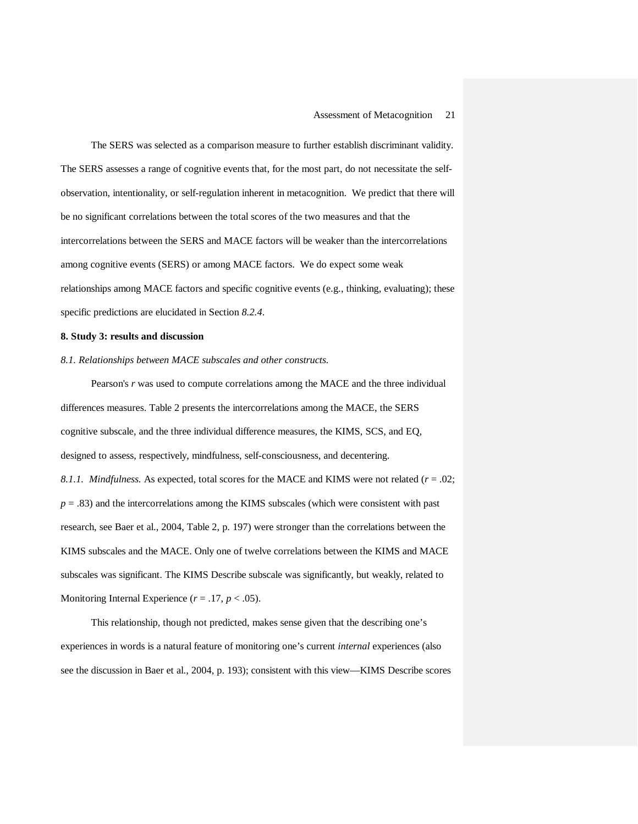The SERS was selected as a comparison measure to further establish discriminant validity. The SERS assesses a range of cognitive events that, for the most part, do not necessitate the selfobservation, intentionality, or self-regulation inherent in metacognition. We predict that there will be no significant correlations between the total scores of the two measures and that the intercorrelations between the SERS and MACE factors will be weaker than the intercorrelations among cognitive events (SERS) or among MACE factors. We do expect some weak relationships among MACE factors and specific cognitive events (e.g., thinking, evaluating); these specific predictions are elucidated in Section *8.2.4*.

#### **8. Study 3: results and discussion**

#### *8.1. Relationships between MACE subscales and other constructs.*

Pearson's *r* was used to compute correlations among the MACE and the three individual differences measures. Table 2 presents the intercorrelations among the MACE, the SERS cognitive subscale, and the three individual difference measures, the KIMS, SCS, and EQ, designed to assess, respectively, mindfulness, self-consciousness, and decentering. *8.1.1. Mindfulness.* As expected, total scores for the MACE and KIMS were not related (*r* = .02;  $p = .83$ ) and the intercorrelations among the KIMS subscales (which were consistent with past research, see Baer et al., 2004, Table 2, p. 197) were stronger than the correlations between the KIMS subscales and the MACE. Only one of twelve correlations between the KIMS and MACE subscales was significant. The KIMS Describe subscale was significantly, but weakly, related to Monitoring Internal Experience  $(r = .17, p < .05)$ .

This relationship, though not predicted, makes sense given that the describing one's experiences in words is a natural feature of monitoring one's current *internal* experiences (also see the discussion in Baer et al., 2004, p. 193); consistent with this view—KIMS Describe scores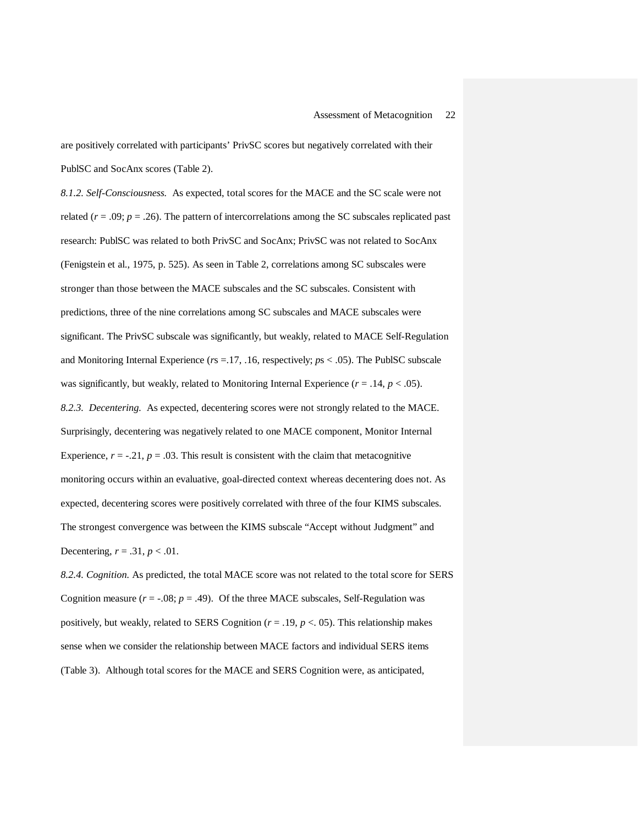are positively correlated with participants' PrivSC scores but negatively correlated with their PublSC and SocAnx scores (Table 2).

*8.1.2. Self-Consciousness.* As expected, total scores for the MACE and the SC scale were not related ( $r = .09$ ;  $p = .26$ ). The pattern of intercorrelations among the SC subscales replicated past research: PublSC was related to both PrivSC and SocAnx; PrivSC was not related to SocAnx (Fenigstein et al., 1975, p. 525). As seen in Table 2, correlations among SC subscales were stronger than those between the MACE subscales and the SC subscales. Consistent with predictions, three of the nine correlations among SC subscales and MACE subscales were significant. The PrivSC subscale was significantly, but weakly, related to MACE Self-Regulation and Monitoring Internal Experience (*r*s =.17, .16, respectively; *p*s < .05). The PublSC subscale was significantly, but weakly, related to Monitoring Internal Experience  $(r = .14, p < .05)$ . *8.2.3. Decentering.* As expected, decentering scores were not strongly related to the MACE. Surprisingly, decentering was negatively related to one MACE component, Monitor Internal Experience,  $r = -0.21$ ,  $p = 0.03$ . This result is consistent with the claim that metacognitive monitoring occurs within an evaluative, goal-directed context whereas decentering does not. As expected, decentering scores were positively correlated with three of the four KIMS subscales. The strongest convergence was between the KIMS subscale "Accept without Judgment" and Decentering,  $r = .31$ ,  $p < .01$ .

*8.2.4. Cognition.* As predicted, the total MACE score was not related to the total score for SERS Cognition measure  $(r = -0.08; p = .49)$ . Of the three MACE subscales, Self-Regulation was positively, but weakly, related to SERS Cognition ( $r = .19$ ,  $p < .05$ ). This relationship makes sense when we consider the relationship between MACE factors and individual SERS items (Table 3). Although total scores for the MACE and SERS Cognition were, as anticipated,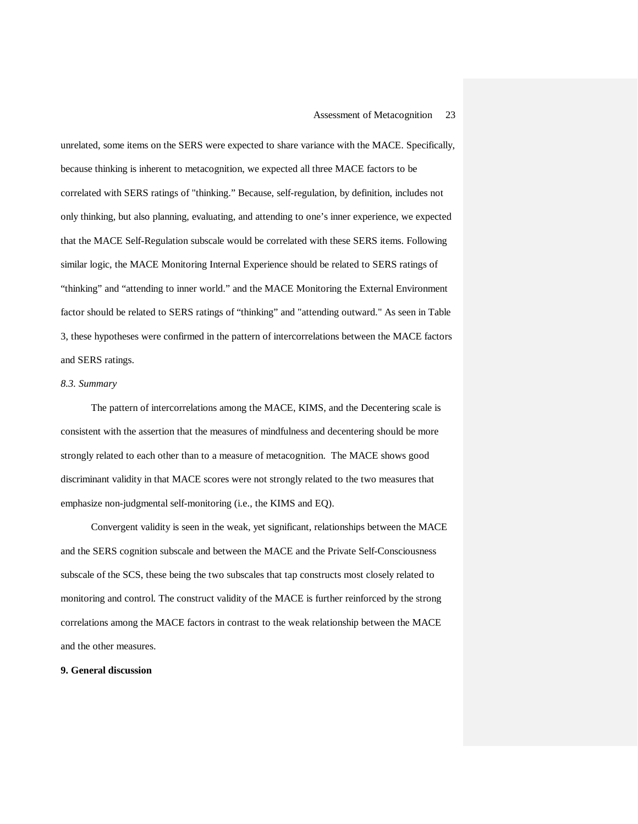unrelated, some items on the SERS were expected to share variance with the MACE. Specifically, because thinking is inherent to metacognition, we expected all three MACE factors to be correlated with SERS ratings of "thinking." Because, self-regulation, by definition, includes not only thinking, but also planning, evaluating, and attending to one's inner experience, we expected that the MACE Self-Regulation subscale would be correlated with these SERS items. Following similar logic, the MACE Monitoring Internal Experience should be related to SERS ratings of "thinking" and "attending to inner world." and the MACE Monitoring the External Environment factor should be related to SERS ratings of "thinking" and "attending outward." As seen in Table 3, these hypotheses were confirmed in the pattern of intercorrelations between the MACE factors and SERS ratings.

#### *8.3. Summary*

The pattern of intercorrelations among the MACE, KIMS, and the Decentering scale is consistent with the assertion that the measures of mindfulness and decentering should be more strongly related to each other than to a measure of metacognition. The MACE shows good discriminant validity in that MACE scores were not strongly related to the two measures that emphasize non-judgmental self-monitoring (i.e., the KIMS and EQ).

Convergent validity is seen in the weak, yet significant, relationships between the MACE and the SERS cognition subscale and between the MACE and the Private Self-Consciousness subscale of the SCS, these being the two subscales that tap constructs most closely related to monitoring and control. The construct validity of the MACE is further reinforced by the strong correlations among the MACE factors in contrast to the weak relationship between the MACE and the other measures.

#### **9. General discussion**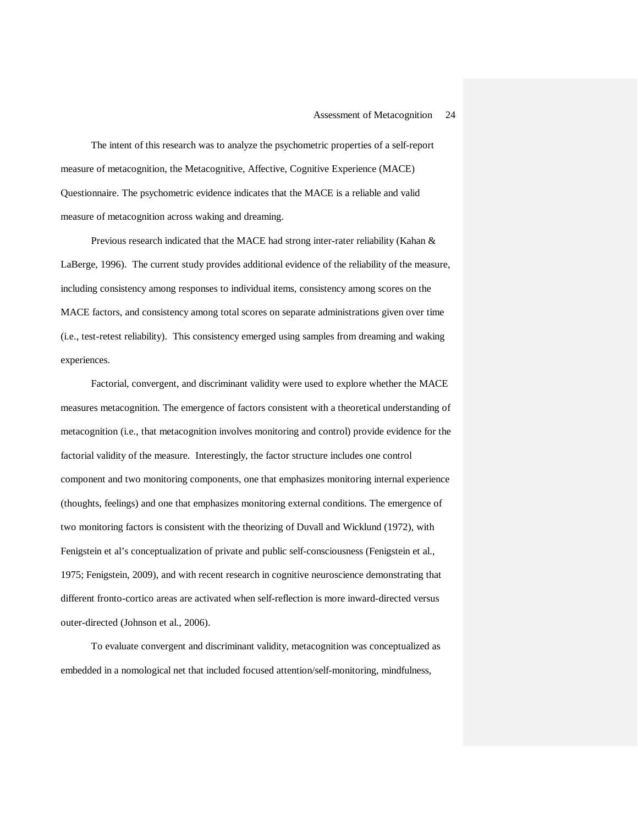The intent of this research was to analyze the psychometric properties of a self-report measure of metacognition, the Metacognitive, Affective, Cognitive Experience (MACE) Questionnaire. The psychometric evidence indicates that the MACE is a reliable and valid measure of metacognition across waking and dreaming.

Previous research indicated that the MACE had strong inter-rater reliability (Kahan & LaBerge, 1996). The current study provides additional evidence of the reliability of the measure, including consistency among responses to individual items, consistency among scores on the MACE factors, and consistency among total scores on separate administrations given over time (i.e., test-retest reliability). This consistency emerged using samples from dreaming and waking experiences.

Factorial, convergent, and discriminant validity were used to explore whether the MACE measures metacognition. The emergence of factors consistent with a theoretical understanding of metacognition (i.e., that metacognition involves monitoring and control) provide evidence for the factorial validity of the measure. Interestingly, the factor structure includes one control component and two monitoring components, one that emphasizes monitoring internal experience (thoughts, feelings) and one that emphasizes monitoring external conditions. The emergence of two monitoring factors is consistent with the theorizing of Duvall and Wicklund (1972), with Fenigstein et al's conceptualization of private and public self-consciousness (Fenigstein et al., 1975; Fenigstein, 2009), and with recent research in cognitive neuroscience demonstrating that different fronto-cortico areas are activated when self-reflection is more inward-directed versus outer-directed (Johnson et al., 2006).

To evaluate convergent and discriminant validity, metacognition was conceptualized as embedded in a nomological net that included focused attention/self-monitoring, mindfulness,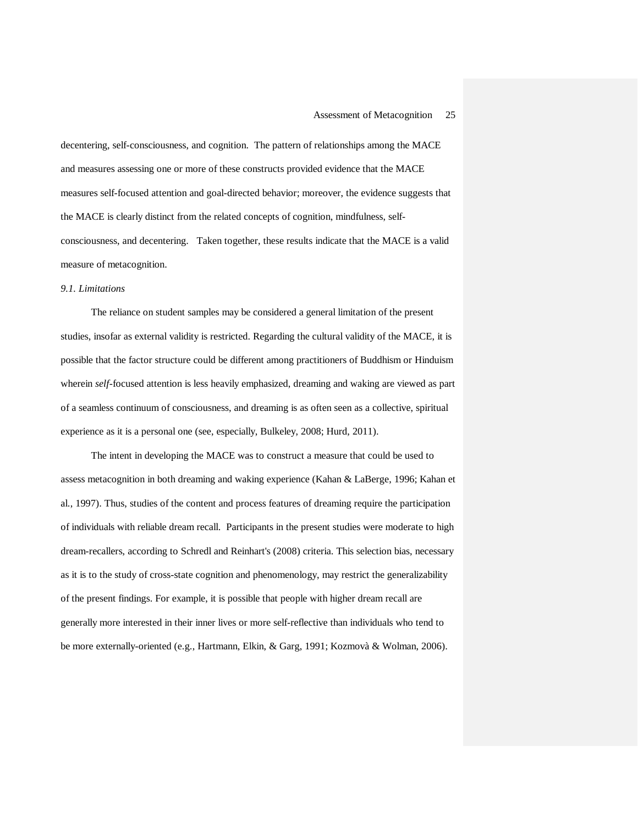decentering, self-consciousness, and cognition. The pattern of relationships among the MACE and measures assessing one or more of these constructs provided evidence that the MACE measures self-focused attention and goal-directed behavior; moreover, the evidence suggests that the MACE is clearly distinct from the related concepts of cognition, mindfulness, selfconsciousness, and decentering. Taken together, these results indicate that the MACE is a valid measure of metacognition.

#### *9.1. Limitations*

The reliance on student samples may be considered a general limitation of the present studies, insofar as external validity is restricted. Regarding the cultural validity of the MACE, it is possible that the factor structure could be different among practitioners of Buddhism or Hinduism wherein *self*-focused attention is less heavily emphasized, dreaming and waking are viewed as part of a seamless continuum of consciousness, and dreaming is as often seen as a collective, spiritual experience as it is a personal one (see, especially, Bulkeley, 2008; Hurd, 2011).

The intent in developing the MACE was to construct a measure that could be used to assess metacognition in both dreaming and waking experience (Kahan & LaBerge, 1996; Kahan et al., 1997). Thus, studies of the content and process features of dreaming require the participation of individuals with reliable dream recall. Participants in the present studies were moderate to high dream-recallers, according to Schredl and Reinhart's (2008) criteria. This selection bias, necessary as it is to the study of cross-state cognition and phenomenology, may restrict the generalizability of the present findings. For example, it is possible that people with higher dream recall are generally more interested in their inner lives or more self-reflective than individuals who tend to be more externally-oriented (e.g., Hartmann, Elkin, & Garg, 1991; Kozmovà & Wolman, 2006).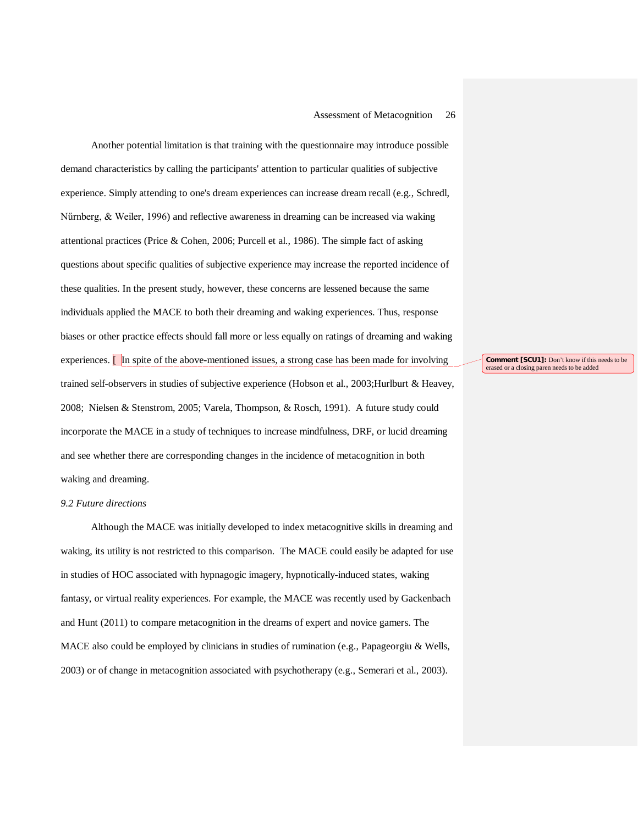Another potential limitation is that training with the questionnaire may introduce possible demand characteristics by calling the participants' attention to particular qualities of subjective experience. Simply attending to one's dream experiences can increase dream recall (e.g., Schredl, Nűrnberg, & Weiler, 1996) and reflective awareness in dreaming can be increased via waking attentional practices (Price & Cohen, 2006; Purcell et al., 1986). The simple fact of asking questions about specific qualities of subjective experience may increase the reported incidence of these qualities. In the present study, however, these concerns are lessened because the same individuals applied the MACE to both their dreaming and waking experiences. Thus, response biases or other practice effects should fall more or less equally on ratings of dreaming and waking experiences. **[**In spite of the above-mentioned issues, a strong case has been made for involving trained self-observers in studies of subjective experience (Hobson et al., 2003;Hurlburt & Heavey, 2008; Nielsen & Stenstrom, 2005; Varela, Thompson, & Rosch, 1991). A future study could incorporate the MACE in a study of techniques to increase mindfulness, DRF, or lucid dreaming and see whether there are corresponding changes in the incidence of metacognition in both waking and dreaming.

#### *9.2 Future directions*

Although the MACE was initially developed to index metacognitive skills in dreaming and waking, its utility is not restricted to this comparison. The MACE could easily be adapted for use in studies of HOC associated with hypnagogic imagery, hypnotically-induced states, waking fantasy, or virtual reality experiences. For example, the MACE was recently used by Gackenbach and Hunt (2011) to compare metacognition in the dreams of expert and novice gamers. The MACE also could be employed by clinicians in studies of rumination (e.g., Papageorgiu & Wells, 2003) or of change in metacognition associated with psychotherapy (e.g., Semerari et al., 2003).

**Comment [SCU1]:** Don't know if this needs to be erased or a closing paren needs to be added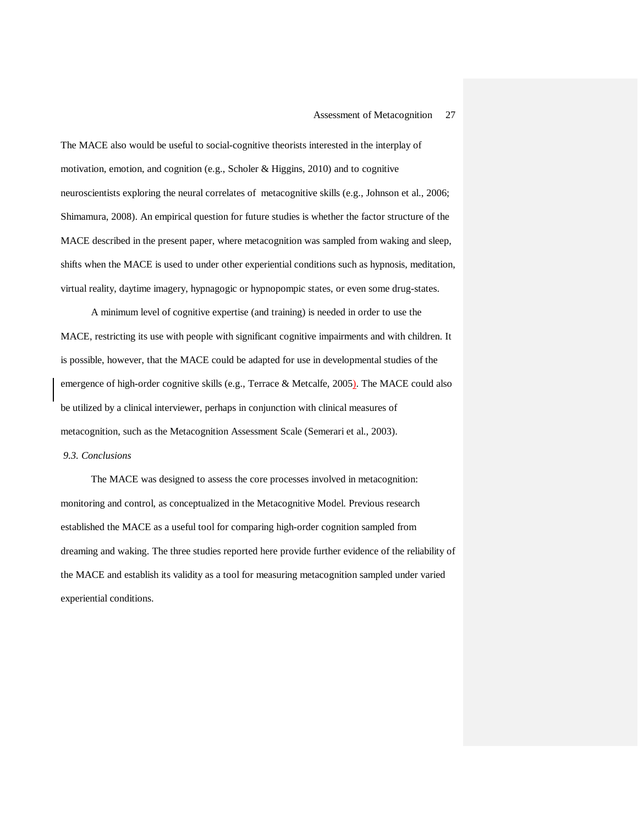The MACE also would be useful to social-cognitive theorists interested in the interplay of motivation, emotion, and cognition (e.g., Scholer & Higgins, 2010) and to cognitive neuroscientists exploring the neural correlates of metacognitive skills (e.g., Johnson et al., 2006; Shimamura, 2008). An empirical question for future studies is whether the factor structure of the MACE described in the present paper, where metacognition was sampled from waking and sleep, shifts when the MACE is used to under other experiential conditions such as hypnosis, meditation, virtual reality, daytime imagery, hypnagogic or hypnopompic states, or even some drug-states.

A minimum level of cognitive expertise (and training) is needed in order to use the MACE, restricting its use with people with significant cognitive impairments and with children. It is possible, however, that the MACE could be adapted for use in developmental studies of the emergence of high-order cognitive skills (e.g., Terrace & Metcalfe, 2005). The MACE could also be utilized by a clinical interviewer, perhaps in conjunction with clinical measures of metacognition, such as the Metacognition Assessment Scale (Semerari et al., 2003).

#### *9.3. Conclusions*

The MACE was designed to assess the core processes involved in metacognition: monitoring and control, as conceptualized in the Metacognitive Model. Previous research established the MACE as a useful tool for comparing high-order cognition sampled from dreaming and waking. The three studies reported here provide further evidence of the reliability of the MACE and establish its validity as a tool for measuring metacognition sampled under varied experiential conditions.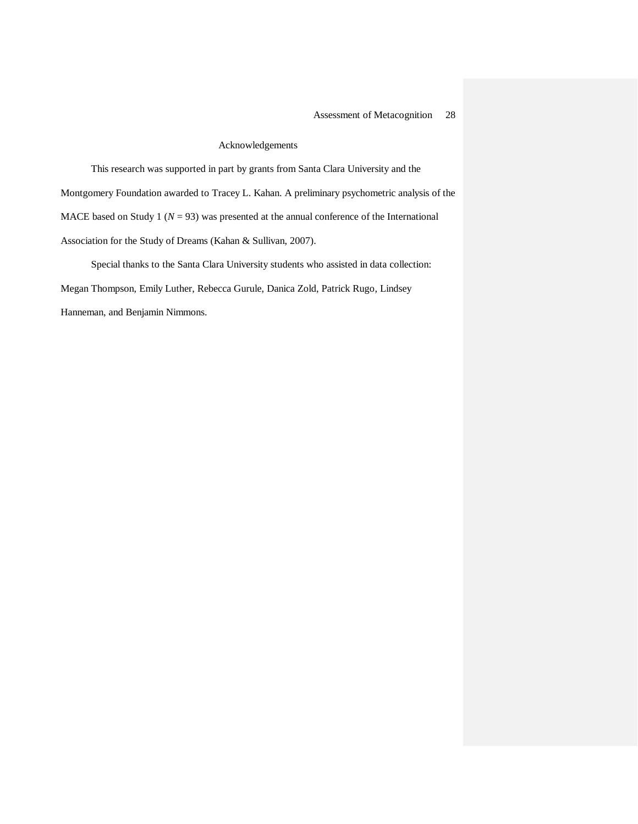#### Acknowledgements

This research was supported in part by grants from Santa Clara University and the Montgomery Foundation awarded to Tracey L. Kahan. A preliminary psychometric analysis of the MACE based on Study 1 ( $N = 93$ ) was presented at the annual conference of the International Association for the Study of Dreams (Kahan & Sullivan, 2007).

Special thanks to the Santa Clara University students who assisted in data collection: Megan Thompson, Emily Luther, Rebecca Gurule, Danica Zold, Patrick Rugo, Lindsey Hanneman, and Benjamin Nimmons.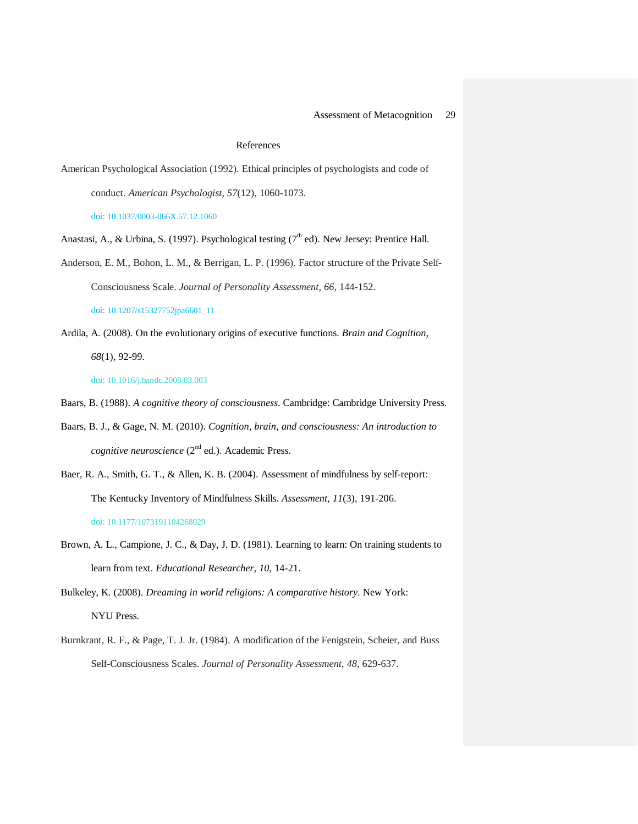#### References

American Psychological Association (1992). Ethical principles of psychologists and code of conduct. *American Psychologist*, *57*(12), 1060-1073. doi: 10.1037/0003-066X.57.12.1060

Anastasi, A., & Urbina, S. (1997). Psychological testing ( $7<sup>th</sup>$  ed). New Jersey: Prentice Hall.

Anderson, E. M., Bohon, L. M., & Berrigan, L. P. (1996). Factor structure of the Private Self-Consciousness Scale. *Journal of Personality Assessment*, *66*, 144-152.

doi: 10.1207/s15327752jpa6601\_11

Ardila, A. (2008). On the evolutionary origins of executive functions. *Brain and Cognition*, *68*(1), 92-99.

doi: 10.1016/j.bandc.2008.03.003

- Baars, B. (1988). *A cognitive theory of consciousness*. Cambridge: Cambridge University Press.
- Baars, B. J., & Gage, N. M. (2010). *Cognition, brain, and consciousness: An introduction to cognitive neuroscience* (2<sup>nd</sup> ed.). Academic Press.
- Baer, R. A., Smith, G. T., & Allen, K. B. (2004). Assessment of mindfulness by self-report: The Kentucky Inventory of Mindfulness Skills. *Assessment, 11*(3), 191-206. doi: 10.1177/1073191104268029
- Brown, A. L., Campione, J. C., & Day, J. D. (1981). Learning to learn: On training students to learn from text. *Educational Researcher, 10*, 14-21.

Bulkeley, K. (2008). *Dreaming in world religions: A comparative history*. New York: NYU Press.

Burnkrant, R. F., & Page, T. J. Jr. (1984). A modification of the Fenigstein, Scheier, and Buss Self-Consciousness Scales. *Journal of Personality Assessment*, *48*, 629-637.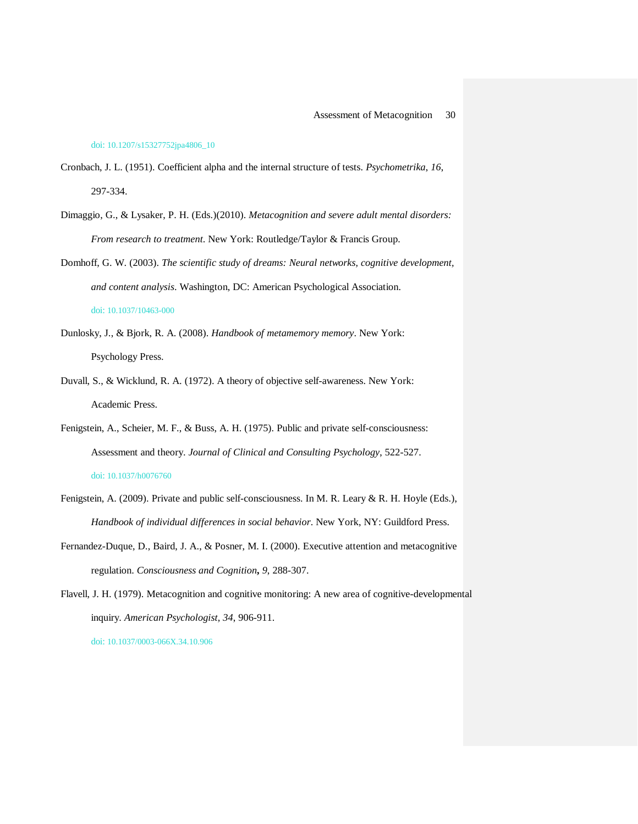#### doi: 10.1207/s15327752jpa4806\_10

- Cronbach, J. L. (1951). Coefficient alpha and the internal structure of tests. *Psychometrika*, *16*, 297-334.
- Dimaggio, G., & Lysaker, P. H. (Eds.)(2010). *Metacognition and severe adult mental disorders: From research to treatment*. New York: Routledge/Taylor & Francis Group.
- Domhoff, G. W. (2003). *The scientific study of dreams: Neural networks, cognitive development, and content analysis*. Washington, DC: American Psychological Association. doi: 10.1037/10463-000
- Dunlosky, J., & Bjork, R. A. (2008). *Handbook of metamemory memory*. New York: Psychology Press.
- Duvall, S., & Wicklund, R. A. (1972). A theory of objective self-awareness. New York: Academic Press.
- Fenigstein, A., Scheier, M. F., & Buss, A. H. (1975). Public and private self-consciousness: Assessment and theory. *Journal of Clinical and Consulting Psychology*, 522-527. doi: 10.1037/h0076760
- Fenigstein, A. (2009). Private and public self-consciousness. In M. R. Leary & R. H. Hoyle (Eds.), *Handbook of individual differences in social behavior*. New York, NY: Guildford Press.
- Fernandez-Duque, D., Baird, J. A., & Posner, M. I. (2000). Executive attention and metacognitive regulation. *Consciousness and Cognition***,** *9*, 288-307.
- Flavell, J. H. (1979). Metacognition and cognitive monitoring: A new area of cognitive-developmental inquiry. *American Psychologist, 34*, 906-911.

doi: 10.1037/0003-066X.34.10.906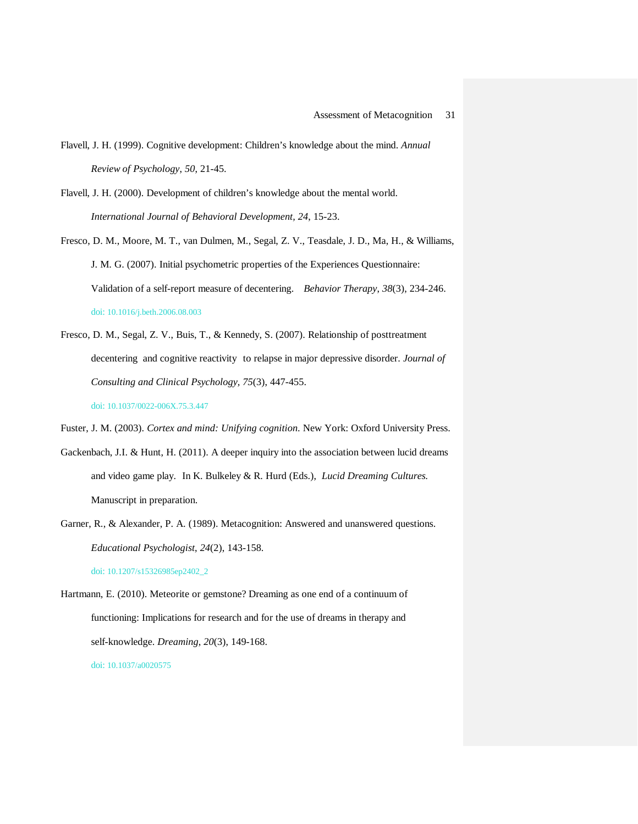- Flavell, J. H. (1999). Cognitive development: Children's knowledge about the mind. *Annual Review of Psychology*, *50*, 21-45.
- Flavell, J. H. (2000). Development of children's knowledge about the mental world. *International Journal of Behavioral Development, 24*, 15-23.
- Fresco, D. M., Moore, M. T., van Dulmen, M., Segal, Z. V., Teasdale, J. D., Ma, H., & Williams, J. M. G. (2007). Initial psychometric properties of the Experiences Questionnaire: Validation of a self-report measure of decentering. *Behavior Therapy*, *38*(3), 234-246. doi: 10.1016/j.beth.2006.08.003
- Fresco, D. M., Segal, Z. V., Buis, T., & Kennedy, S. (2007). Relationship of posttreatment decentering and cognitive reactivity to relapse in major depressive disorder. *Journal of Consulting and Clinical Psychology, 75*(3), 447-455. doi: 10.1037/0022-006X.75.3.447

Fuster, J. M. (2003). *Cortex and mind: Unifying cognition*. New York: Oxford University Press.

- Gackenbach, J.I. & Hunt, H. (2011). A deeper inquiry into the association between lucid dreams and video game play. In K. Bulkeley & R. Hurd (Eds.), *Lucid Dreaming Cultures.* Manuscript in preparation.
- Garner, R., & Alexander, P. A. (1989). Metacognition: Answered and unanswered questions. *Educational Psychologist*, *24*(2), 143-158. doi: 10.1207/s15326985ep2402\_2

Hartmann, E. (2010). Meteorite or gemstone? Dreaming as one end of a continuum of functioning: Implications for research and for the use of dreams in therapy and self-knowledge. *Dreaming*, *20*(3), 149-168. doi: 10.1037/a0020575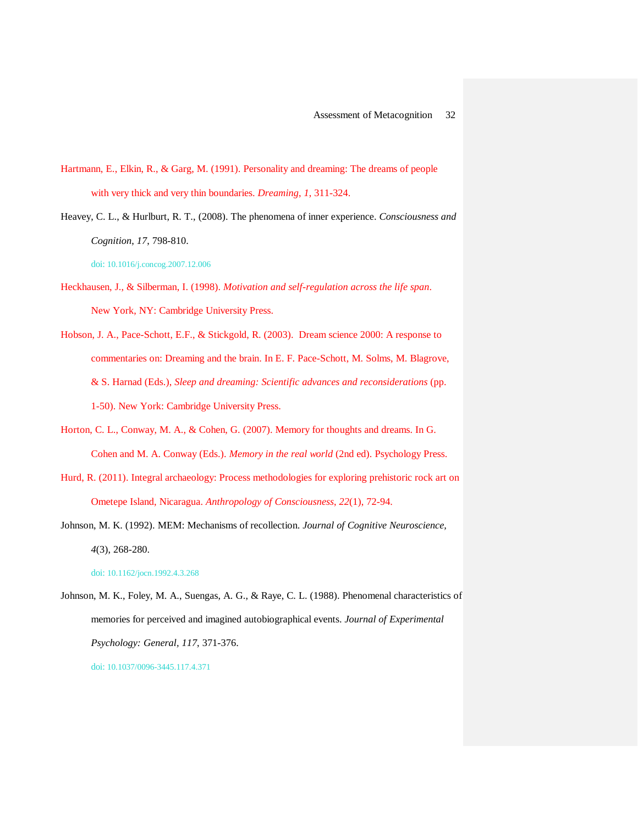- Hartmann, E., Elkin, R., & Garg, M. (1991). Personality and dreaming: The dreams of people with very thick and very thin boundaries. *Dreaming*, *1*, 311-324.
- Heavey, C. L., & Hurlburt, R. T., (2008). The phenomena of inner experience. *Consciousness and Cognition*, *17*, 798-810.

doi: 10.1016/j.concog.2007.12.006

- Heckhausen, J., & Silberman, I. (1998). *Motivation and self-regulation across the life span*. New York, NY: Cambridge University Press.
- Hobson, J. A., Pace-Schott, E.F., & Stickgold, R. (2003). Dream science 2000: A response to commentaries on: Dreaming and the brain. In E. F. Pace-Schott, M. Solms, M. Blagrove, & S. Harnad (Eds.), *Sleep and dreaming: Scientific advances and reconsiderations* (pp. 1-50). New York: Cambridge University Press.
- Horton, C. L., Conway, M. A., & Cohen, G. (2007). Memory for thoughts and dreams. In G. Cohen and M. A. Conway (Eds.). *Memory in the real world* (2nd ed). Psychology Press.
- Hurd, R. (2011). Integral archaeology: Process methodologies for exploring prehistoric rock art on Ometepe Island, Nicaragua. *Anthropology of Consciousness*, *22*(1), 72-94.
- Johnson, M. K. (1992). MEM: Mechanisms of recollection. *Journal of Cognitive Neuroscience, 4*(3), 268-280.

doi: 10.1162/jocn.1992.4.3.268

Johnson, M. K., Foley, M. A., Suengas, A. G., & Raye, C. L. (1988). Phenomenal characteristics of memories for perceived and imagined autobiographical events. *Journal of Experimental Psychology: General, 117*, 371-376. doi: 10.1037/0096-3445.117.4.371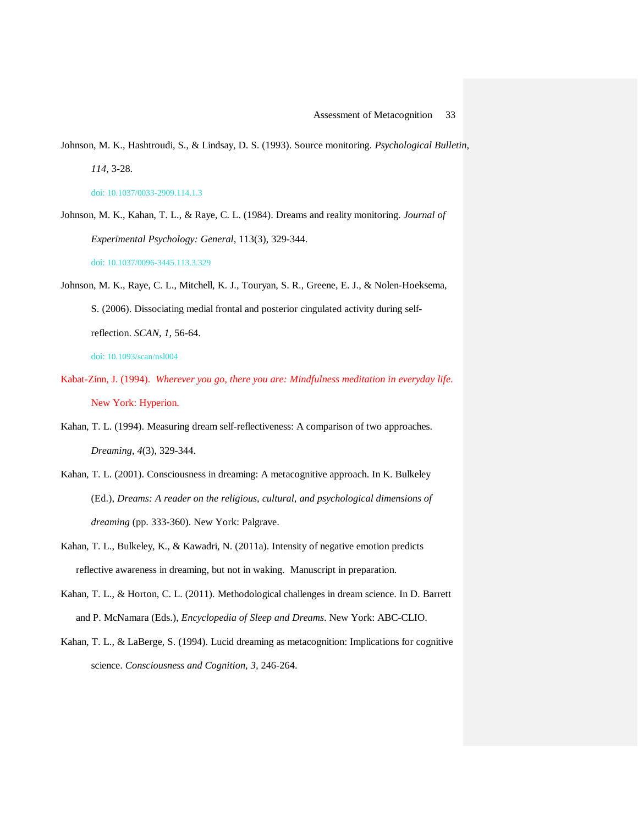- Johnson, M. K., Hashtroudi, S., & Lindsay, D. S. (1993). Source monitoring. *Psychological Bulletin, 114*, 3-28. doi: 10.1037/0033-2909.114.1.3
- Johnson, M. K., Kahan, T. L., & Raye, C. L. (1984). Dreams and reality monitoring. *Journal of Experimental Psychology: General*, 113(3), 329-344. doi: 10.1037/0096-3445.113.3.329
- Johnson, M. K., Raye, C. L., Mitchell, K. J., Touryan, S. R., Greene, E. J., & Nolen-Hoeksema, S. (2006). Dissociating medial frontal and posterior cingulated activity during selfreflection. *SCAN*, *1*, 56-64. doi: 10.1093/scan/nsl004
- Kabat-Zinn, J. (1994). *Wherever you go, there you are: Mindfulness meditation in everyday life*.

New York: Hyperion.

- Kahan, T. L. (1994). Measuring dream self-reflectiveness: A comparison of two approaches. *Dreaming*, *4*(3), 329-344.
- Kahan, T. L. (2001). Consciousness in dreaming: A metacognitive approach. In K. Bulkeley (Ed.), *Dreams: A reader on the religious, cultural, and psychological dimensions of dreaming* (pp. 333-360). New York: Palgrave.
- Kahan, T. L., Bulkeley, K., & Kawadri, N. (2011a). Intensity of negative emotion predicts reflective awareness in dreaming, but not in waking. Manuscript in preparation.
- Kahan, T. L., & Horton, C. L. (2011). Methodological challenges in dream science. In D. Barrett and P. McNamara (Eds.), *Encyclopedia of Sleep and Dreams*. New York: ABC-CLIO.
- Kahan, T. L., & LaBerge, S. (1994). Lucid dreaming as metacognition: Implications for cognitive science. *Consciousness and Cognition, 3,* 246-264.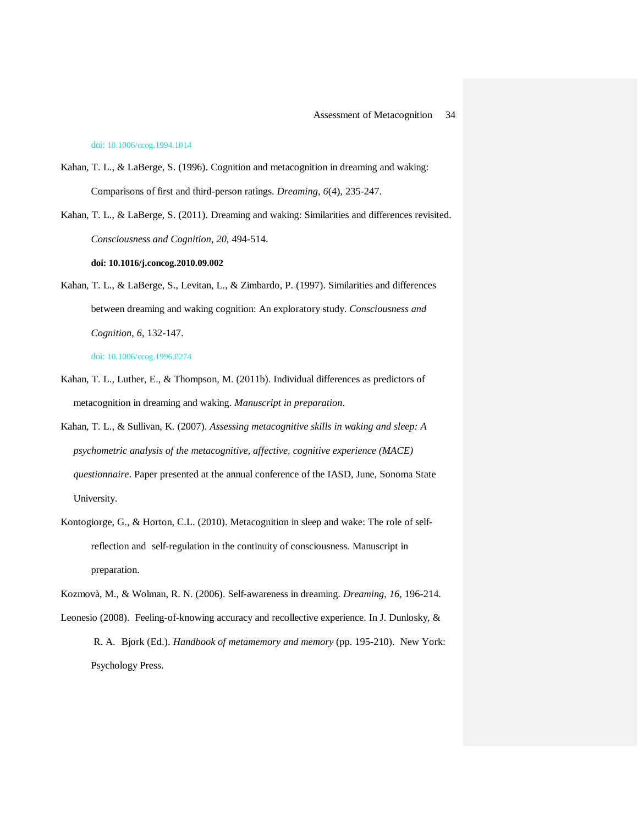#### doi: 10.1006/ccog.1994.1014

- Kahan, T. L., & LaBerge, S. (1996). Cognition and metacognition in dreaming and waking: Comparisons of first and third-person ratings. *Dreaming*, *6*(4), 235-247.
- Kahan, T. L., & LaBerge, S. (2011). Dreaming and waking: Similarities and differences revisited. *Consciousness and Cognition*, *20*, 494-514.

#### **doi: 10.1016/j.concog.2010.09.002**

Kahan, T. L., & LaBerge, S., Levitan, L., & Zimbardo, P. (1997). Similarities and differences between dreaming and waking cognition: An exploratory study. *Consciousness and Cognition*, *6*, 132-147.

doi: 10.1006/ccog.1996.0274

- Kahan, T. L., Luther, E., & Thompson, M. (2011b). Individual differences as predictors of metacognition in dreaming and waking. *Manuscript in preparation*.
- Kahan, T. L., & Sullivan, K. (2007). *Assessing metacognitive skills in waking and sleep: A psychometric analysis of the metacognitive, affective, cognitive experience (MACE) questionnaire*. Paper presented at the annual conference of the IASD, June, Sonoma State University.
- Kontogiorge, G., & Horton, C.L. (2010). Metacognition in sleep and wake: The role of selfreflection and self-regulation in the continuity of consciousness. Manuscript in preparation.
- Kozmovà, M., & Wolman, R. N. (2006). Self-awareness in dreaming. *Dreaming*, *16*, 196-214. Leonesio (2008). Feeling-of-knowing accuracy and recollective experience. In J. Dunlosky, & R. A. Bjork (Ed.). *Handbook of metamemory and memory* (pp. 195-210). New York: Psychology Press.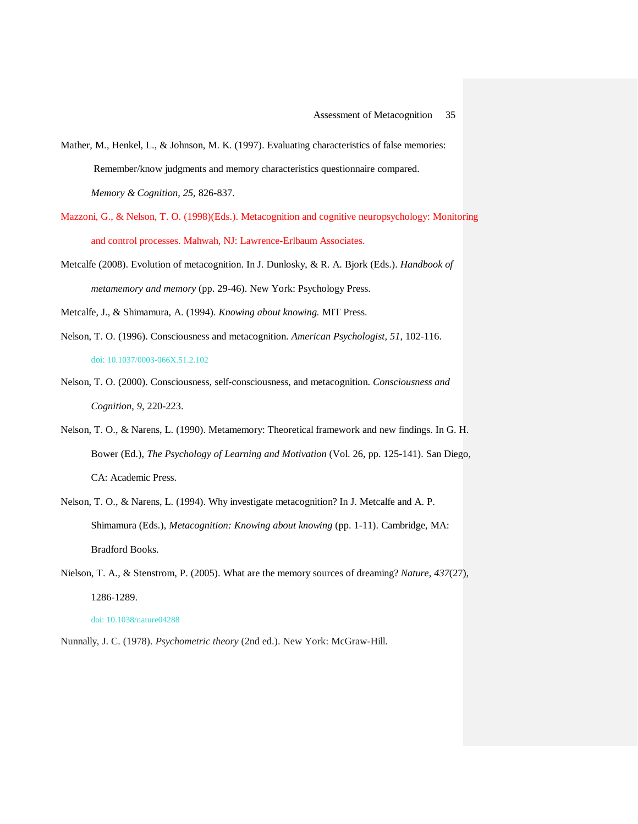- Mather, M., Henkel, L., & Johnson, M. K. (1997). Evaluating characteristics of false memories: Remember/know judgments and memory characteristics questionnaire compared. *Memory & Cognition, 25,* 826-837.
- Mazzoni, G., & Nelson, T. O. (1998)(Eds.). Metacognition and cognitive neuropsychology: Monitoring and control processes. Mahwah, NJ: Lawrence-Erlbaum Associates.
- Metcalfe (2008). Evolution of metacognition. In J. Dunlosky, & R. A. Bjork (Eds.). *Handbook of metamemory and memory* (pp. 29-46). New York: Psychology Press.

Metcalfe, J., & Shimamura, A. (1994). *Knowing about knowing.* MIT Press.

- Nelson, T. O. (1996). Consciousness and metacognition. *American Psychologist, 51*, 102-116. doi: 10.1037/0003-066X.51.2.102
- Nelson, T. O. (2000). Consciousness, self-consciousness, and metacognition. *Consciousness and Cognition*, *9*, 220-223.
- Nelson, T. O., & Narens, L. (1990). Metamemory: Theoretical framework and new findings. In G. H. Bower (Ed.), *The Psychology of Learning and Motivation* (Vol. 26, pp. 125-141). San Diego, CA: Academic Press.
- Nelson, T. O., & Narens, L. (1994). Why investigate metacognition? In J. Metcalfe and A. P. Shimamura (Eds.), *Metacognition: Knowing about knowing* (pp. 1-11). Cambridge, MA: Bradford Books.
- Nielson, T. A., & Stenstrom, P. (2005). What are the memory sources of dreaming? *Nature*, *437*(27), 1286-1289.

doi: 10.1038/nature04288

Nunnally, J. C. (1978). *Psychometric theory* (2nd ed.). New York: McGraw-Hill.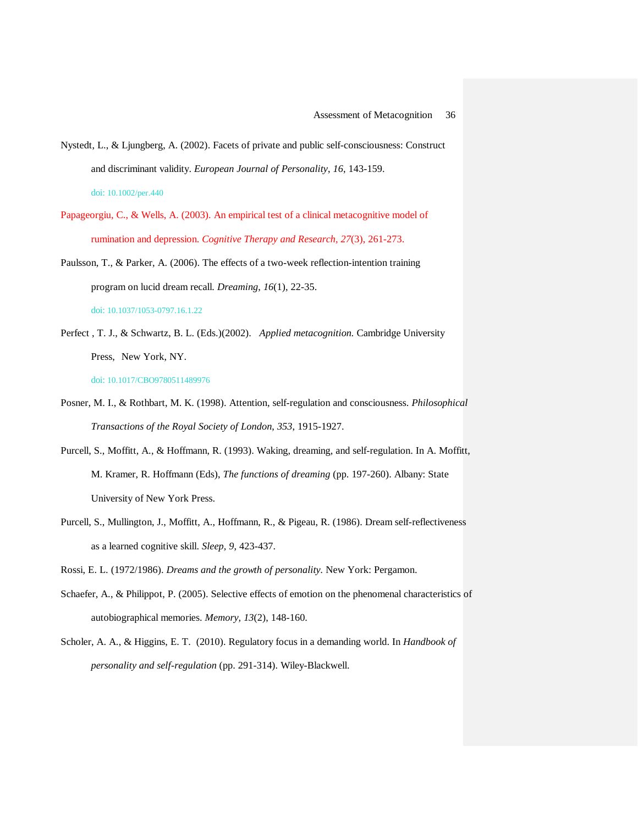- Papageorgiu, C., & Wells, A. (2003). An empirical test of a clinical metacognitive model of rumination and depression. *Cognitive Therapy and Research*, *27*(3), 261-273.
- Paulsson, T., & Parker, A. (2006). The effects of a two-week reflection-intention training program on lucid dream recall. *Dreaming*, *16*(1), 22-35. doi: 10.1037/1053-0797.16.1.22
- Perfect , T. J., & Schwartz, B. L. (Eds.)(2002). *Applied metacognition.* Cambridge University Press, New York, NY.

doi: 10.1017/CBO9780511489976

- Posner, M. I., & Rothbart, M. K. (1998). Attention, self-regulation and consciousness. *Philosophical Transactions of the Royal Society of London*, *353*, 1915-1927.
- Purcell, S., Moffitt, A., & Hoffmann, R. (1993). Waking, dreaming, and self-regulation. In A. Moffitt, M. Kramer, R. Hoffmann (Eds), *The functions of dreaming* (pp. 197-260). Albany: State University of New York Press.
- Purcell, S., Mullington, J., Moffitt, A., Hoffmann, R., & Pigeau, R. (1986). Dream self-reflectiveness as a learned cognitive skill. *Sleep, 9*, 423-437.
- Rossi, E. L. (1972/1986). *Dreams and the growth of personality.* New York: Pergamon.
- Schaefer, A., & Philippot, P. (2005). Selective effects of emotion on the phenomenal characteristics of autobiographical memories. *Memory, 13*(2), 148-160.
- Scholer, A. A., & Higgins, E. T. (2010). Regulatory focus in a demanding world. In *Handbook of personality and self-regulation* (pp. 291-314). Wiley-Blackwell.

Nystedt, L., & Ljungberg, A. (2002). Facets of private and public self-consciousness: Construct and discriminant validity. *European Journal of Personality*, *16*, 143-159. doi: 10.1002/per.440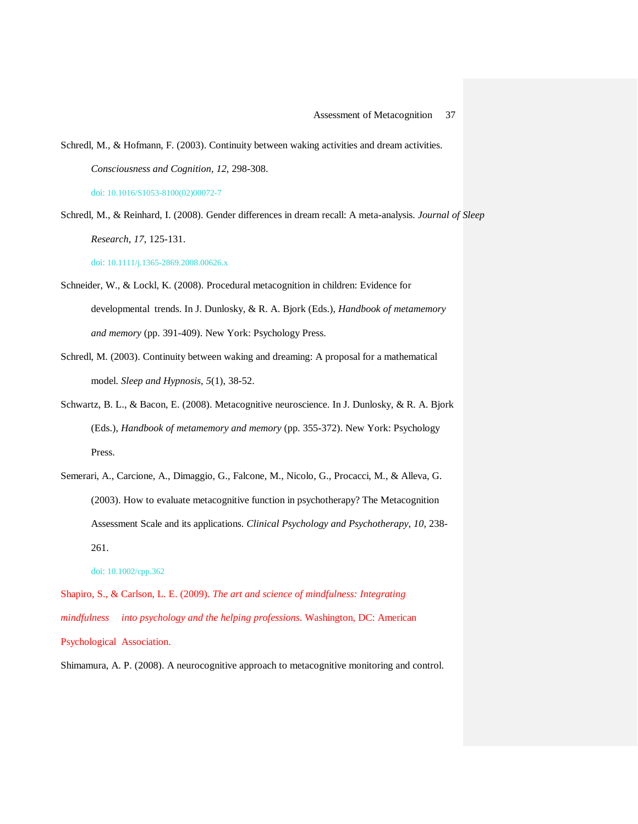Schredl, M., & Reinhard, I. (2008). Gender differences in dream recall: A meta-analysis. *Journal of Sleep Research*, *17*, 125-131.

doi: 10.1111/j.1365-2869.2008.00626.x

- Schneider, W., & Lockl, K. (2008). Procedural metacognition in children: Evidence for developmental trends. In J. Dunlosky, & R. A. Bjork (Eds.), *Handbook of metamemory and memory* (pp. 391-409). New York: Psychology Press.
- Schredl, M. (2003). Continuity between waking and dreaming: A proposal for a mathematical model. *Sleep and Hypnosis*, *5*(1), 38-52.
- Schwartz, B. L., & Bacon, E. (2008). Metacognitive neuroscience. In J. Dunlosky, & R. A. Bjork (Eds.), *Handbook of metamemory and memory* (pp. 355-372). New York: Psychology Press.
- Semerari, A., Carcione, A., Dimaggio, G., Falcone, M., Nicolo, G., Procacci, M., & Alleva, G. (2003). How to evaluate metacognitive function in psychotherapy? The Metacognition Assessment Scale and its applications. *Clinical Psychology and Psychotherapy*, *10*, 238- 261.

doi: 10.1002/cpp.362

Shapiro, S., & Carlson, L. E. (2009). *The art and science of mindfulness: Integrating mindfulness into psychology and the helping professions*. Washington, DC: American Psychological Association.

Shimamura, A. P. (2008). A neurocognitive approach to metacognitive monitoring and control.

Schredl, M., & Hofmann, F. (2003). Continuity between waking activities and dream activities. *Consciousness and Cognition, 12,* 298-308. doi: 10.1016/S1053-8100(02)00072-7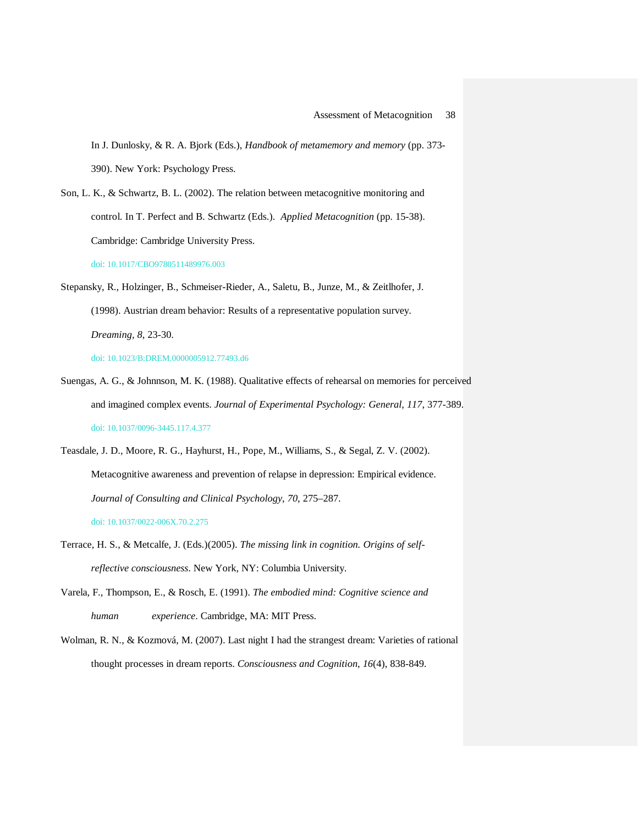In J. Dunlosky, & R. A. Bjork (Eds.), *Handbook of metamemory and memory* (pp. 373- 390). New York: Psychology Press.

Son, L. K., & Schwartz, B. L. (2002). The relation between metacognitive monitoring and control. In T. Perfect and B. Schwartz (Eds.). *Applied Metacognition* (pp. 15-38). Cambridge: Cambridge University Press. doi: 10.1017/CBO9780511489976.003

Stepansky, R., Holzinger, B., Schmeiser-Rieder, A., Saletu, B., Junze, M., & Zeitlhofer, J. (1998). Austrian dream behavior: Results of a representative population survey. *Dreaming, 8*, 23-30.

doi: 10.1023/B:DREM.0000005912.77493.d6

Suengas, A. G., & Johnnson, M. K. (1988). Qualitative effects of rehearsal on memories for perceived and imagined complex events. *Journal of Experimental Psychology: General, 117*, 377-389. doi: 10.1037/0096-3445.117.4.377

Teasdale, J. D., Moore, R. G., Hayhurst, H., Pope, M., Williams, S., & Segal, Z. V. (2002). Metacognitive awareness and prevention of relapse in depression: Empirical evidence. *Journal of Consulting and Clinical Psychology*, *70*, 275–287. doi: 10.1037/0022-006X.70.2.275

- Terrace, H. S., & Metcalfe, J. (Eds.)(2005). *The missing link in cognition. Origins of selfreflective consciousness*. New York, NY: Columbia University.
- Varela, F., Thompson, E., & Rosch, E. (1991). *The embodied mind: Cognitive science and human experience*. Cambridge, MA: MIT Press.
- Wolman, R. N., & Kozmová, M. (2007). Last night I had the strangest dream: Varieties of rational thought processes in dream reports. *Consciousness and Cognition*, *16*(4), 838-849.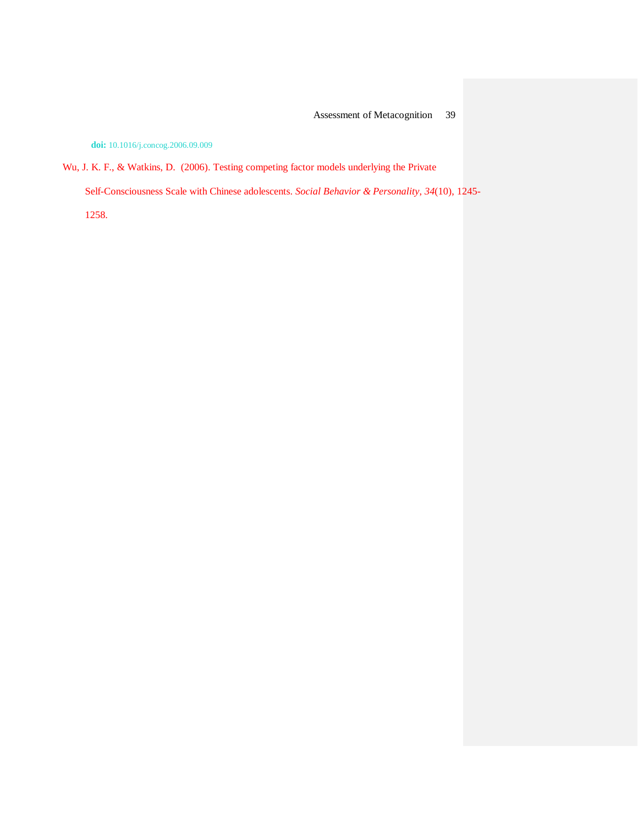**doi:** 10.1016/j.concog.2006.09.009

Wu, J. K. F., & Watkins, D. (2006). Testing competing factor models underlying the Private

Self-Consciousness Scale with Chinese adolescents. *Social Behavior & Personality*, *34*(10), 1245-

1258.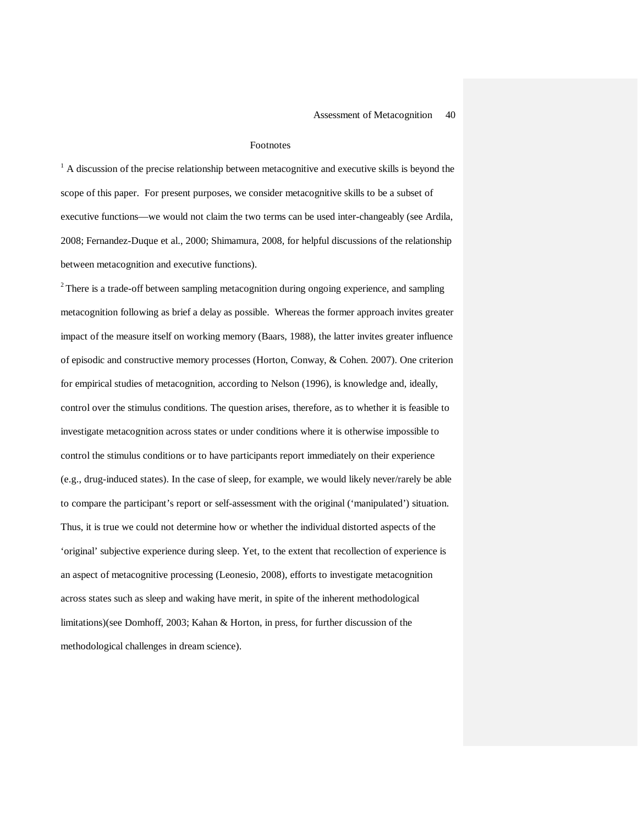#### Footnotes

 $<sup>1</sup>$  A discussion of the precise relationship between metacognitive and executive skills is beyond the</sup> scope of this paper. For present purposes, we consider metacognitive skills to be a subset of executive functions—we would not claim the two terms can be used inter-changeably (see Ardila, 2008; Fernandez-Duque et al., 2000; Shimamura, 2008, for helpful discussions of the relationship between metacognition and executive functions).

 $2$  There is a trade-off between sampling metacognition during ongoing experience, and sampling metacognition following as brief a delay as possible. Whereas the former approach invites greater impact of the measure itself on working memory (Baars, 1988), the latter invites greater influence of episodic and constructive memory processes (Horton, Conway, & Cohen. 2007). One criterion for empirical studies of metacognition, according to Nelson (1996), is knowledge and, ideally, control over the stimulus conditions. The question arises, therefore, as to whether it is feasible to investigate metacognition across states or under conditions where it is otherwise impossible to control the stimulus conditions or to have participants report immediately on their experience (e.g., drug-induced states). In the case of sleep, for example, we would likely never/rarely be able to compare the participant's report or self-assessment with the original ('manipulated') situation. Thus, it is true we could not determine how or whether the individual distorted aspects of the 'original' subjective experience during sleep. Yet, to the extent that recollection of experience is an aspect of metacognitive processing (Leonesio, 2008), efforts to investigate metacognition across states such as sleep and waking have merit, in spite of the inherent methodological limitations)(see Domhoff, 2003; Kahan & Horton, in press, for further discussion of the methodological challenges in dream science).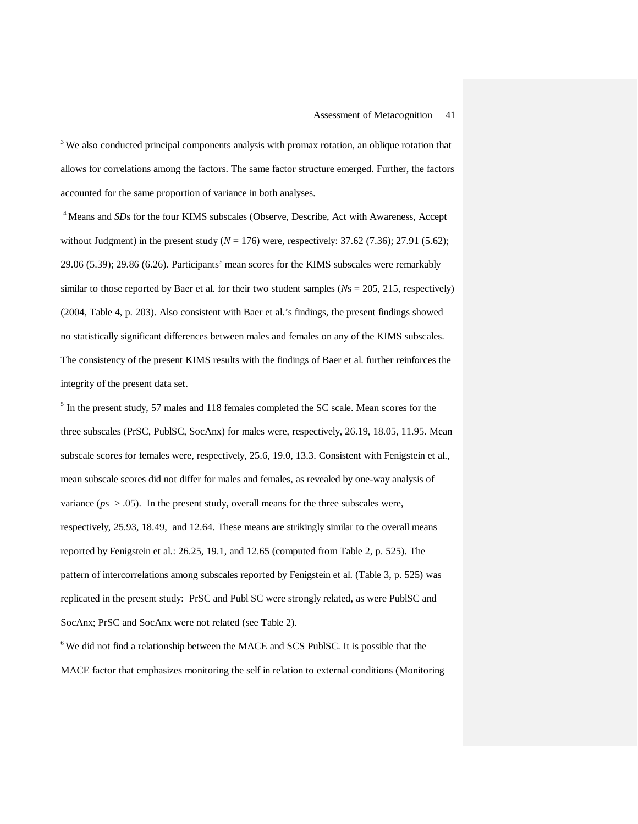$3$  We also conducted principal components analysis with promax rotation, an oblique rotation that allows for correlations among the factors. The same factor structure emerged. Further, the factors accounted for the same proportion of variance in both analyses.

<sup>4</sup> Means and *SDs* for the four KIMS subscales (Observe, Describe, Act with Awareness, Accept without Judgment) in the present study  $(N = 176)$  were, respectively: 37.62 (7.36); 27.91 (5.62); 29.06 (5.39); 29.86 (6.26). Participants' mean scores for the KIMS subscales were remarkably similar to those reported by Baer et al. for their two student samples (*N*s = 205, 215, respectively) (2004, Table 4, p. 203). Also consistent with Baer et al.'s findings, the present findings showed no statistically significant differences between males and females on any of the KIMS subscales. The consistency of the present KIMS results with the findings of Baer et al. further reinforces the integrity of the present data set.

<sup>5</sup> In the present study, 57 males and 118 females completed the SC scale. Mean scores for the three subscales (PrSC, PublSC, SocAnx) for males were, respectively, 26.19, 18.05, 11.95. Mean subscale scores for females were, respectively, 25.6, 19.0, 13.3. Consistent with Fenigstein et al., mean subscale scores did not differ for males and females, as revealed by one-way analysis of variance ( $ps > .05$ ). In the present study, overall means for the three subscales were, respectively, 25.93, 18.49, and 12.64. These means are strikingly similar to the overall means reported by Fenigstein et al.: 26.25, 19.1, and 12.65 (computed from Table 2, p. 525). The pattern of intercorrelations among subscales reported by Fenigstein et al. (Table 3, p. 525) was replicated in the present study: PrSC and Publ SC were strongly related, as were PublSC and SocAnx; PrSC and SocAnx were not related (see Table 2).

 $6$  We did not find a relationship between the MACE and SCS PublSC. It is possible that the MACE factor that emphasizes monitoring the self in relation to external conditions (Monitoring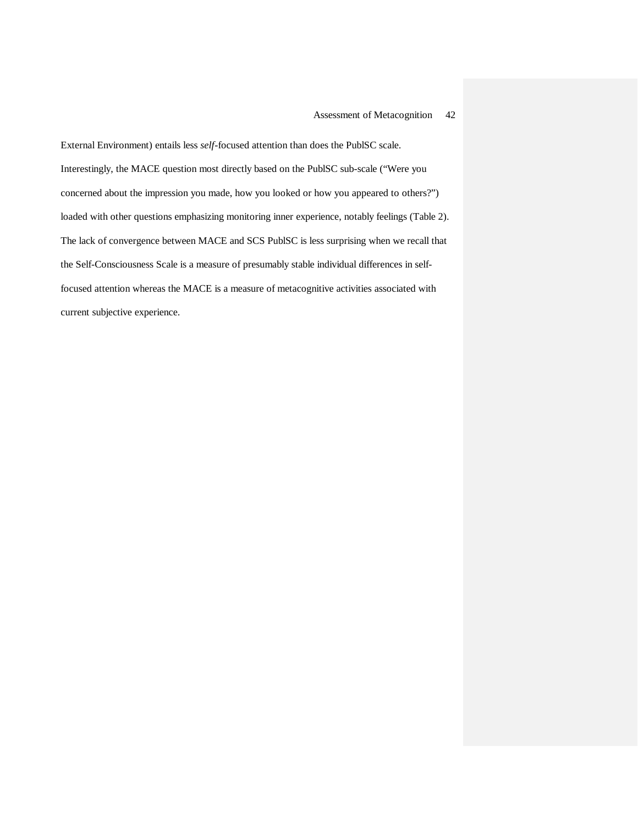External Environment) entails less *self*-focused attention than does the PublSC scale. Interestingly, the MACE question most directly based on the PublSC sub-scale ("Were you concerned about the impression you made, how you looked or how you appeared to others?") loaded with other questions emphasizing monitoring inner experience, notably feelings (Table 2). The lack of convergence between MACE and SCS PublSC is less surprising when we recall that the Self-Consciousness Scale is a measure of presumably stable individual differences in selffocused attention whereas the MACE is a measure of metacognitive activities associated with current subjective experience.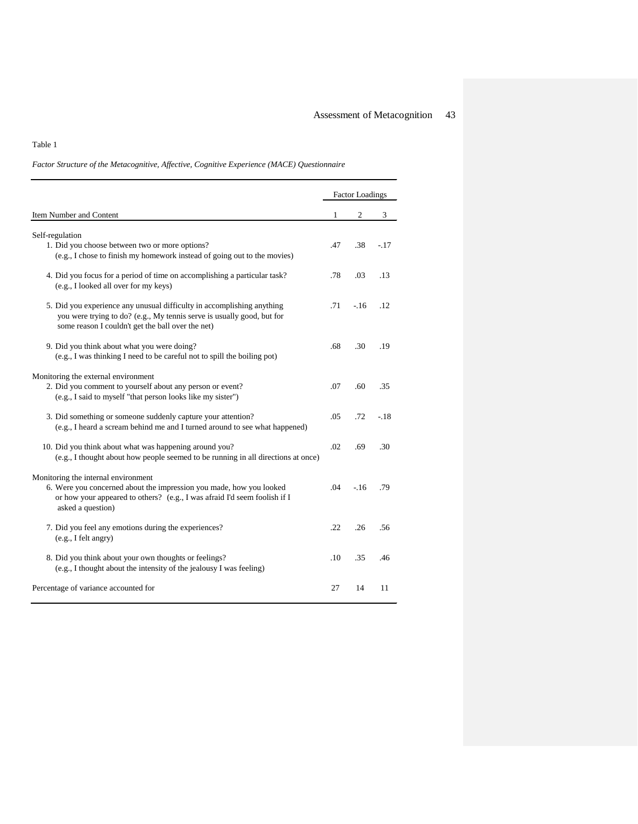### Table 1

*Factor Structure of the Metacognitive, Affective, Cognitive Experience (MACE) Questionnaire*

|                                                                                                                                                                                                              |     | <b>Factor Loadings</b> |        |  |  |  |
|--------------------------------------------------------------------------------------------------------------------------------------------------------------------------------------------------------------|-----|------------------------|--------|--|--|--|
| Item Number and Content                                                                                                                                                                                      | 1   | 2                      | 3      |  |  |  |
| Self-regulation<br>1. Did you choose between two or more options?<br>(e.g., I chose to finish my homework instead of going out to the movies)                                                                | .47 | .38                    | $-.17$ |  |  |  |
| 4. Did you focus for a period of time on accomplishing a particular task?<br>(e.g., I looked all over for my keys)                                                                                           | .78 | .03                    | .13    |  |  |  |
| 5. Did you experience any unusual difficulty in accomplishing anything<br>you were trying to do? (e.g., My tennis serve is usually good, but for<br>some reason I couldn't get the ball over the net)        | .71 | $-16$                  | .12    |  |  |  |
| 9. Did you think about what you were doing?<br>(e.g., I was thinking I need to be careful not to spill the boiling pot)                                                                                      | .68 | .30                    | .19    |  |  |  |
| Monitoring the external environment<br>2. Did you comment to yourself about any person or event?<br>(e.g., I said to myself "that person looks like my sister")                                              | .07 | .60                    | .35    |  |  |  |
| 3. Did something or someone suddenly capture your attention?<br>(e.g., I heard a scream behind me and I turned around to see what happened)                                                                  | .05 | .72                    | $-.18$ |  |  |  |
| 10. Did you think about what was happening around you?<br>(e.g., I thought about how people seemed to be running in all directions at once)                                                                  | .02 | .69                    | .30    |  |  |  |
| Monitoring the internal environment<br>6. Were you concerned about the impression you made, how you looked<br>or how your appeared to others? (e.g., I was afraid I'd seem foolish if I<br>asked a question) | .04 | $-16$                  | .79    |  |  |  |
| 7. Did you feel any emotions during the experiences?<br>(e.g., I felt angry)                                                                                                                                 | .22 | .26                    | .56    |  |  |  |
| 8. Did you think about your own thoughts or feelings?<br>(e.g., I thought about the intensity of the jealousy I was feeling)                                                                                 | .10 | .35                    | .46    |  |  |  |
| Percentage of variance accounted for                                                                                                                                                                         | 27  | 14                     | 11     |  |  |  |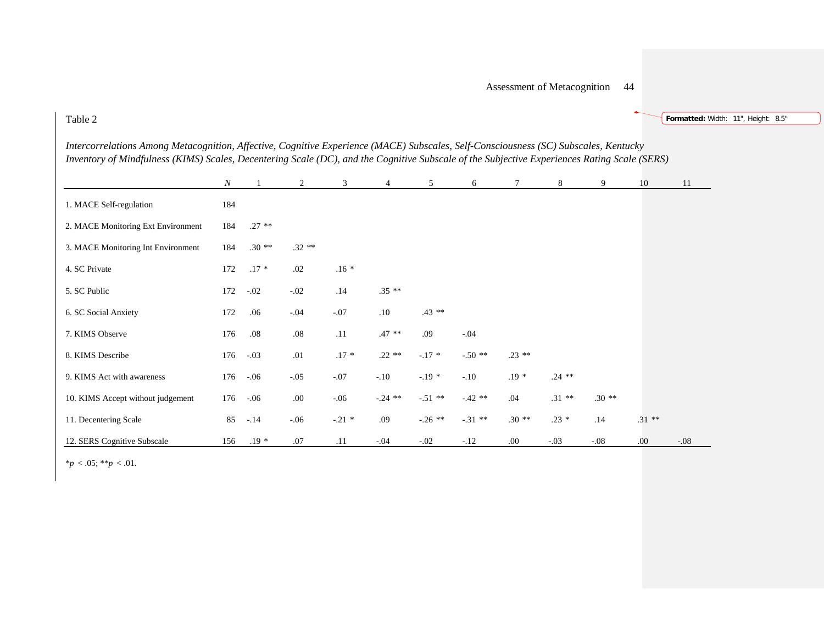Table 2

**Formatted:** Width: 11", Height: 8.5"

| Intercorrelations Among Metacognition, Affective, Cognitive Experience (MACE) Subscales, Self-Consciousness (SC) Subscales, Kentucky         |  |
|----------------------------------------------------------------------------------------------------------------------------------------------|--|
| Inventory of Mindfulness (KIMS) Scales, Decentering Scale (DC), and the Cognitive Subscale of the Subjective Experiences Rating Scale (SERS) |  |

|                                    | $\boldsymbol{N}$ |          | 2       | 3       | 4         | 5         | 6        | 7        | 8        | 9       | 10       | 11     |
|------------------------------------|------------------|----------|---------|---------|-----------|-----------|----------|----------|----------|---------|----------|--------|
| 1. MACE Self-regulation            | 184              |          |         |         |           |           |          |          |          |         |          |        |
| 2. MACE Monitoring Ext Environment | 184              | $.27$ ** |         |         |           |           |          |          |          |         |          |        |
| 3. MACE Monitoring Int Environment | 184              | $.30**$  | $.32**$ |         |           |           |          |          |          |         |          |        |
| 4. SC Private                      | 172              | $.17*$   | .02     | $.16*$  |           |           |          |          |          |         |          |        |
| 5. SC Public                       | 172              | $-.02$   | $-.02$  | .14     | $.35**$   |           |          |          |          |         |          |        |
| 6. SC Social Anxiety               | 172              | .06      | $-.04$  | $-.07$  | .10       | $.43**$   |          |          |          |         |          |        |
| 7. KIMS Observe                    | 176              | .08      | $.08\,$ | .11     | $.47$ **  | .09       | $-.04$   |          |          |         |          |        |
| 8. KIMS Describe                   | 176              | $-.03$   | .01     | $.17*$  | $.22**$   | $-.17$ *  | $-.50**$ | $.23$ ** |          |         |          |        |
| 9. KIMS Act with awareness         | 176              | $-.06$   | $-.05$  | $-.07$  | $-.10$    | $-.19*$   | $-.10$   | $.19*$   | $.24$ ** |         |          |        |
| 10. KIMS Accept without judgement  | 176              | $-.06$   | .00.    | $-.06$  | $-.24$ ** | $-.51$ ** | $-42**$  | .04      | $.31$ ** | $.30**$ |          |        |
| 11. Decentering Scale              | 85               | $-.14$   | $-.06$  | $-21$ * | .09       | $-.26$ ** | $-31$ ** | $.30**$  | $.23 *$  | .14     | $.31$ ** |        |
| 12. SERS Cognitive Subscale        | 156              | $.19*$   | .07     | .11     | $-.04$    | $-.02$    | $-.12$   | .00.     | $-.03$   | $-.08$  | .00      | $-.08$ |

 $*_{p} < .05; **_{p} < .01$ .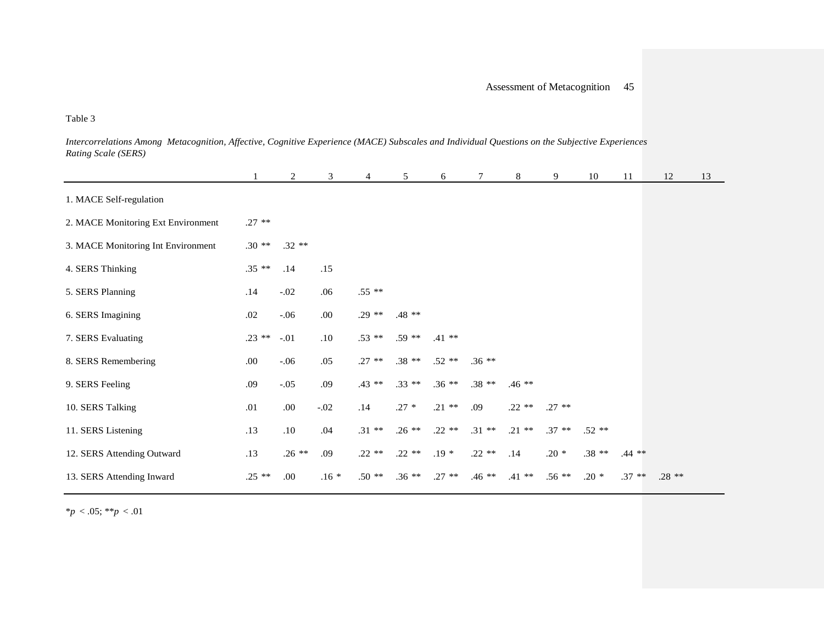Table 3

*Intercorrelations Among Metacognition, Affective, Cognitive Experience (MACE) Subscales and Individual Questions on the Subjective Experiences Rating Scale (SERS)* 

|                                    |          | $\overline{c}$ | 3       | 4        | 5        | 6        |          | 8        | 9        | 10      | 11       | 12      | 13 |
|------------------------------------|----------|----------------|---------|----------|----------|----------|----------|----------|----------|---------|----------|---------|----|
| 1. MACE Self-regulation            |          |                |         |          |          |          |          |          |          |         |          |         |    |
| 2. MACE Monitoring Ext Environment | $.27$ ** |                |         |          |          |          |          |          |          |         |          |         |    |
| 3. MACE Monitoring Int Environment | $.30**$  | $.32**$        |         |          |          |          |          |          |          |         |          |         |    |
| 4. SERS Thinking                   | $.35**$  | .14            | .15     |          |          |          |          |          |          |         |          |         |    |
| 5. SERS Planning                   | .14      | $-.02$         | .06     | $.55$ ** |          |          |          |          |          |         |          |         |    |
| 6. SERS Imagining                  | .02      | $-.06$         | $.00\,$ | $.29**$  | $.48$ ** |          |          |          |          |         |          |         |    |
| 7. SERS Evaluating                 | $.23$ ** | $-.01$         | .10     | $.53$ ** | $.59**$  | $.41$ ** |          |          |          |         |          |         |    |
| 8. SERS Remembering                | .00.     | $-.06$         | .05     | $.27$ ** | $.38**$  | $.52$ ** | $.36**$  |          |          |         |          |         |    |
| 9. SERS Feeling                    | .09      | $-.05$         | .09     | $.43$ ** | $.33$ ** | $.36**$  | $.38**$  | $.46**$  |          |         |          |         |    |
| 10. SERS Talking                   | .01      | $.00\,$        | $-.02$  | .14      | $.27 *$  | $.21$ ** | .09      | $.22$ ** | $.27$ ** |         |          |         |    |
| 11. SERS Listening                 | .13      | .10            | .04     | $.31$ ** | $.26$ ** | $.22$ ** | $.31***$ | $.21$ ** | $.37$ ** | $.52**$ |          |         |    |
| 12. SERS Attending Outward         | .13      | $.26$ **       | .09     | $.22$ ** | $.22**$  | $.19*$   | $.22$ ** | .14      | $.20*$   | $.38**$ | $.44$ ** |         |    |
| 13. SERS Attending Inward          | $.25$ ** | .00.           | $.16*$  | $.50**$  | $.36**$  | $.27$ ** | $.46**$  | $.41$ ** | $.56**$  | $.20*$  | $.37**$  | $.28**$ |    |

\**p* < .05; \*\**p* < .01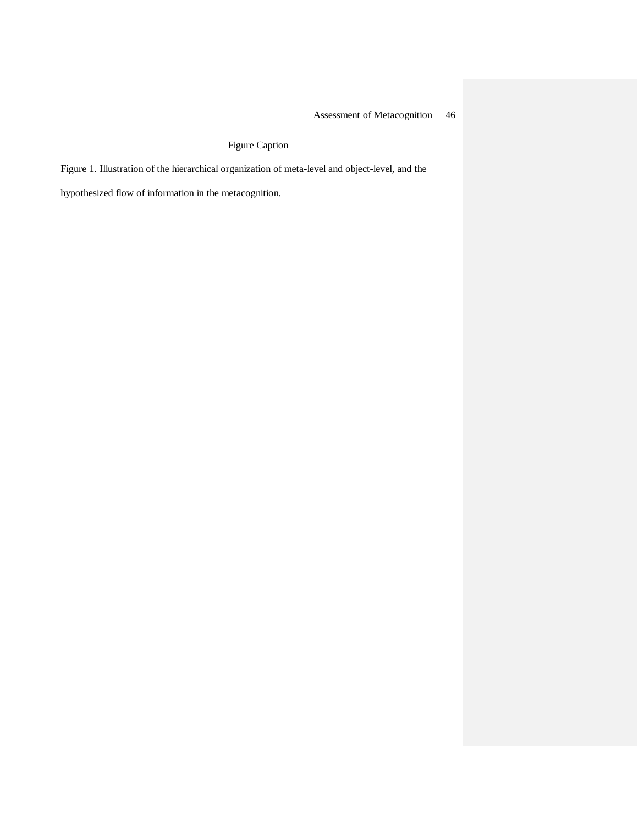Figure Caption

Figure 1. Illustration of the hierarchical organization of meta-level and object-level, and the

hypothesized flow of information in the metacognition.